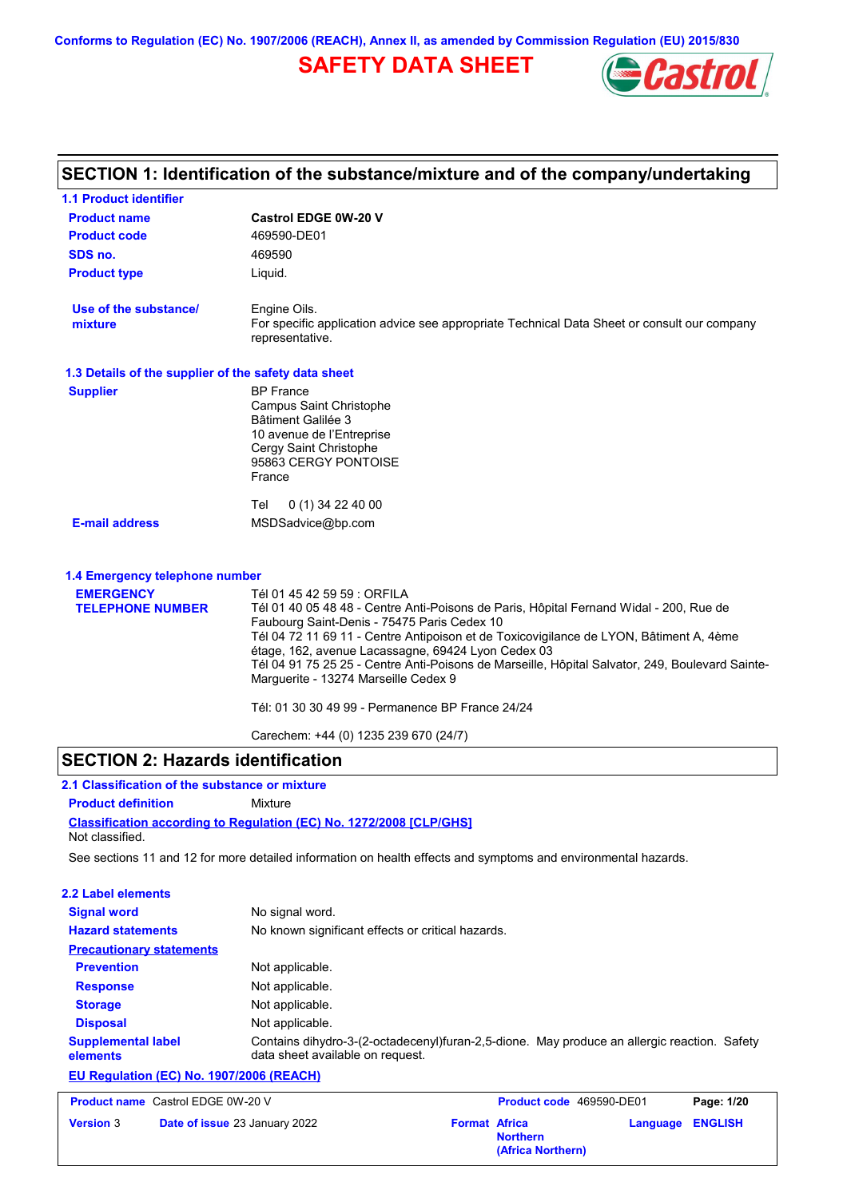# **SAFETY DATA SHEET**



|                                                      | SECTION 1: Identification of the substance/mixture and of the company/undertaking                                                                                                                                                                                                                                                                                                                                                                                                                                                                            |
|------------------------------------------------------|--------------------------------------------------------------------------------------------------------------------------------------------------------------------------------------------------------------------------------------------------------------------------------------------------------------------------------------------------------------------------------------------------------------------------------------------------------------------------------------------------------------------------------------------------------------|
| <b>1.1 Product identifier</b>                        |                                                                                                                                                                                                                                                                                                                                                                                                                                                                                                                                                              |
| <b>Product name</b>                                  | <b>Castrol EDGE 0W-20 V</b>                                                                                                                                                                                                                                                                                                                                                                                                                                                                                                                                  |
| <b>Product code</b>                                  | 469590-DE01                                                                                                                                                                                                                                                                                                                                                                                                                                                                                                                                                  |
| SDS no.                                              | 469590                                                                                                                                                                                                                                                                                                                                                                                                                                                                                                                                                       |
| <b>Product type</b>                                  | Liquid.                                                                                                                                                                                                                                                                                                                                                                                                                                                                                                                                                      |
| Use of the substance/<br>mixture                     | Engine Oils.<br>For specific application advice see appropriate Technical Data Sheet or consult our company<br>representative.                                                                                                                                                                                                                                                                                                                                                                                                                               |
| 1.3 Details of the supplier of the safety data sheet |                                                                                                                                                                                                                                                                                                                                                                                                                                                                                                                                                              |
| <b>Supplier</b>                                      | <b>BP</b> France<br><b>Campus Saint Christophe</b><br>Bâtiment Galilée 3<br>10 avenue de l'Entreprise<br>Cergy Saint Christophe<br>95863 CERGY PONTOISE<br>France                                                                                                                                                                                                                                                                                                                                                                                            |
|                                                      | $0(1)$ 34 22 40 00<br>Tel                                                                                                                                                                                                                                                                                                                                                                                                                                                                                                                                    |
| <b>E-mail address</b>                                | MSDSadvice@bp.com                                                                                                                                                                                                                                                                                                                                                                                                                                                                                                                                            |
| 1.4 Emergency telephone number                       |                                                                                                                                                                                                                                                                                                                                                                                                                                                                                                                                                              |
| <b>EMERGENCY</b><br><b>TELEPHONE NUMBER</b>          | Tél 01 45 42 59 59 : ORFILA<br>Tél 01 40 05 48 48 - Centre Anti-Poisons de Paris, Hôpital Fernand Widal - 200, Rue de<br>Faubourg Saint-Denis - 75475 Paris Cedex 10<br>Tél 04 72 11 69 11 - Centre Antipoison et de Toxicovigilance de LYON, Bâtiment A, 4ème<br>étage, 162, avenue Lacassagne, 69424 Lyon Cedex 03<br>Tél 04 91 75 25 25 - Centre Anti-Poisons de Marseille, Hôpital Salvator, 249, Boulevard Sainte-<br>Marguerite - 13274 Marseille Cedex 9<br>Tél: 01 30 30 49 99 - Permanence BP France 24/24<br>Carechem: +44 (0) 1235 239 670 (24/7) |

# **SECTION 2: Hazards identification**

| 2.1 Classification of the substance or mixture |                                                                            |  |  |  |
|------------------------------------------------|----------------------------------------------------------------------------|--|--|--|
| <b>Product definition</b>                      | Mixture                                                                    |  |  |  |
|                                                | <b>Classification according to Regulation (EC) No. 1272/2008 ICLP/GHS1</b> |  |  |  |
| Not classified.                                |                                                                            |  |  |  |

See sections 11 and 12 for more detailed information on health effects and symptoms and environmental hazards.

| 2.2 Label elements                       |                                                                                                                                 |
|------------------------------------------|---------------------------------------------------------------------------------------------------------------------------------|
| <b>Signal word</b>                       | No signal word.                                                                                                                 |
| <b>Hazard statements</b>                 | No known significant effects or critical hazards.                                                                               |
| <b>Precautionary statements</b>          |                                                                                                                                 |
| <b>Prevention</b>                        | Not applicable.                                                                                                                 |
| <b>Response</b>                          | Not applicable.                                                                                                                 |
| <b>Storage</b>                           | Not applicable.                                                                                                                 |
| <b>Disposal</b>                          | Not applicable.                                                                                                                 |
| <b>Supplemental label</b><br>elements    | Contains dihydro-3-(2-octadecenyl)furan-2,5-dione. May produce an allergic reaction. Safety<br>data sheet available on request. |
| EU Regulation (EC) No. 1907/2006 (REACH) |                                                                                                                                 |

**Product name** Castrol EDGE 0W-20 V **Version** 3 **Product code** 469590-DE01 **Page: 1/20 Date of issue** 23 January 2022 **Format Africa Northern Language ENGLISH (Africa Northern)**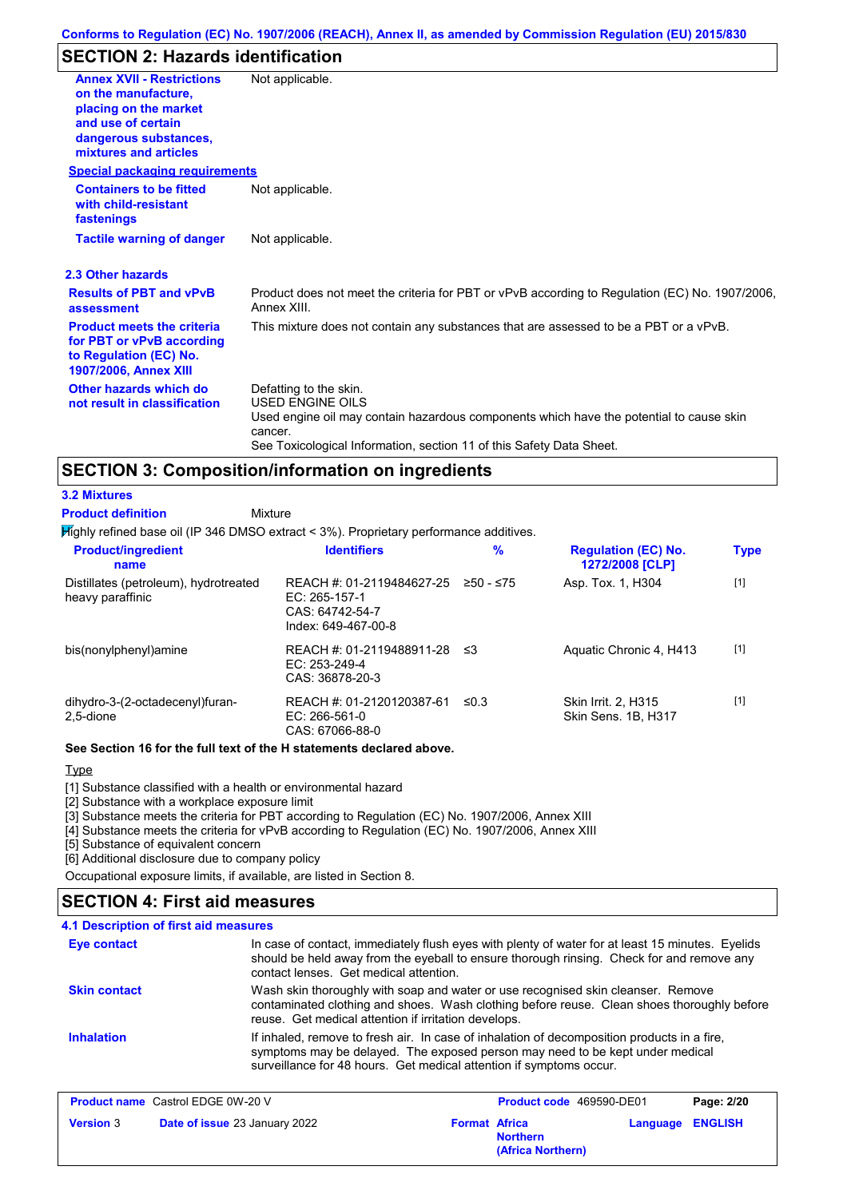# **SECTION 2: Hazards identification**

| <b>Annex XVII - Restrictions</b><br>on the manufacture,<br>placing on the market<br>and use of certain<br>dangerous substances,<br>mixtures and articles | Not applicable.                                                                                                                                                                                                                 |
|----------------------------------------------------------------------------------------------------------------------------------------------------------|---------------------------------------------------------------------------------------------------------------------------------------------------------------------------------------------------------------------------------|
| <b>Special packaging requirements</b>                                                                                                                    |                                                                                                                                                                                                                                 |
| <b>Containers to be fitted</b><br>with child-resistant<br>fastenings                                                                                     | Not applicable.                                                                                                                                                                                                                 |
| <b>Tactile warning of danger</b>                                                                                                                         | Not applicable.                                                                                                                                                                                                                 |
| 2.3 Other hazards                                                                                                                                        |                                                                                                                                                                                                                                 |
| <b>Results of PBT and vPvB</b><br>assessment                                                                                                             | Product does not meet the criteria for PBT or vPvB according to Regulation (EC) No. 1907/2006,<br>Annex XIII.                                                                                                                   |
| <b>Product meets the criteria</b><br>for PBT or vPvB according<br>to Regulation (EC) No.<br>1907/2006, Annex XIII                                        | This mixture does not contain any substances that are assessed to be a PBT or a vPvB.                                                                                                                                           |
| Other hazards which do<br>not result in classification                                                                                                   | Defatting to the skin.<br><b>USED ENGINE OILS</b><br>Used engine oil may contain hazardous components which have the potential to cause skin<br>cancer.<br>See Toxicological Information, section 11 of this Safety Data Sheet. |

# **SECTION 3: Composition/information on ingredients**

#### **3.2 Mixtures**

**Product definition**

Mixture

Highly refined base oil (IP 346 DMSO extract < 3%). Proprietary performance additives.

| <b>Product/ingredient</b><br>name                         | <b>Identifiers</b>                                                                     | $\%$        | <b>Regulation (EC) No.</b><br>1272/2008 [CLP] | <b>Type</b> |
|-----------------------------------------------------------|----------------------------------------------------------------------------------------|-------------|-----------------------------------------------|-------------|
| Distillates (petroleum), hydrotreated<br>heavy paraffinic | REACH #: 01-2119484627-25<br>EC: $265-157-1$<br>CAS: 64742-54-7<br>Index: 649-467-00-8 | $≥50 - ≤75$ | Asp. Tox. 1, H304                             | $[1]$       |
| bis(nonylphenyl)amine                                     | REACH #: 01-2119488911-28<br>$EC: 253-249-4$<br>CAS: 36878-20-3                        | -≤3         | Aquatic Chronic 4, H413                       | $[1]$       |
| dihydro-3-(2-octadecenyl)furan-<br>2,5-dione              | REACH #: 01-2120120387-61<br>EC: 266-561-0<br>CAS: 67066-88-0                          | ≤0.3        | Skin Irrit. 2, H315<br>Skin Sens. 1B, H317    | $[1]$       |

#### **See Section 16 for the full text of the H statements declared above.**

#### **Type**

[1] Substance classified with a health or environmental hazard

[2] Substance with a workplace exposure limit

[3] Substance meets the criteria for PBT according to Regulation (EC) No. 1907/2006, Annex XIII

[4] Substance meets the criteria for vPvB according to Regulation (EC) No. 1907/2006, Annex XIII

[5] Substance of equivalent concern

[6] Additional disclosure due to company policy

Occupational exposure limits, if available, are listed in Section 8.

#### **4.1 Description of first aid measures SECTION 4: First aid measures**

| Eye contact         | In case of contact, immediately flush eyes with plenty of water for at least 15 minutes. Eyelids<br>should be held away from the eyeball to ensure thorough rinsing. Check for and remove any<br>contact lenses. Get medical attention.             |
|---------------------|-----------------------------------------------------------------------------------------------------------------------------------------------------------------------------------------------------------------------------------------------------|
| <b>Skin contact</b> | Wash skin thoroughly with soap and water or use recognised skin cleanser. Remove<br>contaminated clothing and shoes. Wash clothing before reuse. Clean shoes thoroughly before<br>reuse. Get medical attention if irritation develops.              |
| <b>Inhalation</b>   | If inhaled, remove to fresh air. In case of inhalation of decomposition products in a fire,<br>symptoms may be delayed. The exposed person may need to be kept under medical<br>surveillance for 48 hours. Get medical attention if symptoms occur. |

|                  | <b>Product name</b> Castrol EDGE 0W-20 V |                      | <b>Product code</b> 469590-DE01      |                         | Page: 2/20 |
|------------------|------------------------------------------|----------------------|--------------------------------------|-------------------------|------------|
| <b>Version 3</b> | <b>Date of issue 23 January 2022</b>     | <b>Format Africa</b> | <b>Northern</b><br>(Africa Northern) | <b>Language ENGLISH</b> |            |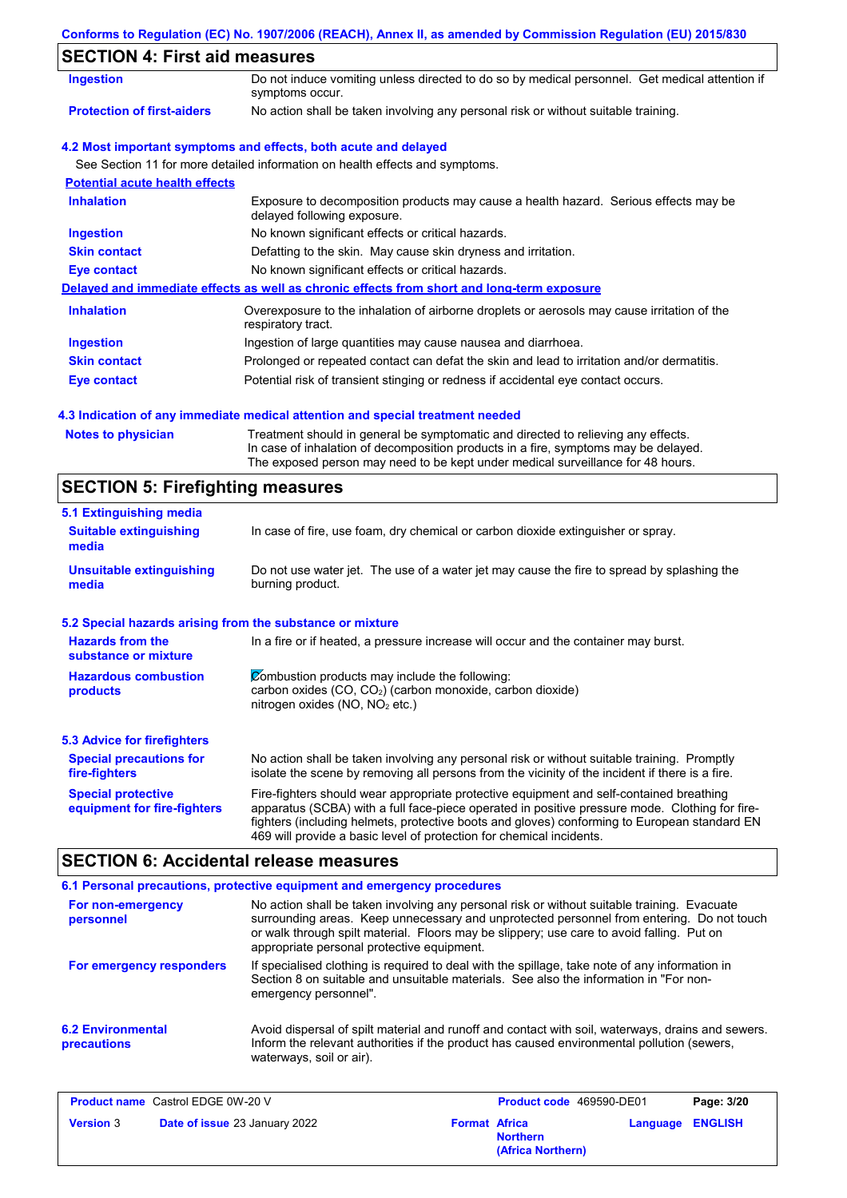| Conforms to Regulation (EC) No. 1907/2006 (REACH), Annex II, as amended by Commission Regulation (EU) 2015/830 |  |  |  |  |
|----------------------------------------------------------------------------------------------------------------|--|--|--|--|
|                                                                                                                |  |  |  |  |

# **SECTION 4: First aid measures**

| 02011011 7. 1 11 31 414 11104341 03   |                                                                                                                     |
|---------------------------------------|---------------------------------------------------------------------------------------------------------------------|
| <b>Ingestion</b>                      | Do not induce vomiting unless directed to do so by medical personnel. Get medical attention if<br>symptoms occur.   |
| <b>Protection of first-aiders</b>     | No action shall be taken involving any personal risk or without suitable training.                                  |
|                                       | 4.2 Most important symptoms and effects, both acute and delayed                                                     |
|                                       | See Section 11 for more detailed information on health effects and symptoms.                                        |
| <b>Potential acute health effects</b> |                                                                                                                     |
| <b>Inhalation</b>                     | Exposure to decomposition products may cause a health hazard. Serious effects may be<br>delayed following exposure. |
| <b>Ingestion</b>                      | No known significant effects or critical hazards.                                                                   |
| <b>Skin contact</b>                   | Defatting to the skin. May cause skin dryness and irritation.                                                       |
| Eye contact                           | No known significant effects or critical hazards.                                                                   |
|                                       | Delayed and immediate effects as well as chronic effects from short and long-term exposure                          |
| <b>Inhalation</b>                     | Overexposure to the inhalation of airborne droplets or aerosols may cause irritation of the<br>respiratory tract.   |
| <b>Ingestion</b>                      | Ingestion of large quantities may cause nausea and diarrhoea.                                                       |
| <b>Skin contact</b>                   | Prolonged or repeated contact can defat the skin and lead to irritation and/or dermatitis.                          |
| Eye contact                           | Potential risk of transient stinging or redness if accidental eye contact occurs.                                   |
|                                       |                                                                                                                     |

#### **4.3 Indication of any immediate medical attention and special treatment needed**

| Notes to physician | Treatment should in general be symptomatic and directed to relieving any effects.   |
|--------------------|-------------------------------------------------------------------------------------|
|                    | In case of inhalation of decomposition products in a fire, symptoms may be delayed. |
|                    | The exposed person may need to be kept under medical surveillance for 48 hours.     |

# **SECTION 5: Firefighting measures**

| 5.1 Extinguishing media                                                                                                                                                                                     |                                                                                                                                                                                                                                                                                                                                                                   |
|-------------------------------------------------------------------------------------------------------------------------------------------------------------------------------------------------------------|-------------------------------------------------------------------------------------------------------------------------------------------------------------------------------------------------------------------------------------------------------------------------------------------------------------------------------------------------------------------|
| <b>Suitable extinguishing</b><br>media                                                                                                                                                                      | In case of fire, use foam, dry chemical or carbon dioxide extinguisher or spray.                                                                                                                                                                                                                                                                                  |
| <b>Unsuitable extinguishing</b><br>media                                                                                                                                                                    | Do not use water jet. The use of a water jet may cause the fire to spread by splashing the<br>burning product.                                                                                                                                                                                                                                                    |
| 5.2 Special hazards arising from the substance or mixture                                                                                                                                                   |                                                                                                                                                                                                                                                                                                                                                                   |
| <b>Hazards from the</b><br>substance or mixture                                                                                                                                                             | In a fire or if heated, a pressure increase will occur and the container may burst.                                                                                                                                                                                                                                                                               |
| Combustion products may include the following:<br><b>Hazardous combustion</b><br>carbon oxides (CO, CO <sub>2</sub> ) (carbon monoxide, carbon dioxide)<br>products<br>nitrogen oxides ( $NO$ , $NO2$ etc.) |                                                                                                                                                                                                                                                                                                                                                                   |
| <b>5.3 Advice for firefighters</b>                                                                                                                                                                          |                                                                                                                                                                                                                                                                                                                                                                   |
| <b>Special precautions for</b><br>fire-fighters                                                                                                                                                             | No action shall be taken involving any personal risk or without suitable training. Promptly<br>isolate the scene by removing all persons from the vicinity of the incident if there is a fire.                                                                                                                                                                    |
| <b>Special protective</b><br>equipment for fire-fighters                                                                                                                                                    | Fire-fighters should wear appropriate protective equipment and self-contained breathing<br>apparatus (SCBA) with a full face-piece operated in positive pressure mode. Clothing for fire-<br>fighters (including helmets, protective boots and gloves) conforming to European standard EN<br>469 will provide a basic level of protection for chemical incidents. |

# **SECTION 6: Accidental release measures**

|                                         | 6.1 Personal precautions, protective equipment and emergency procedures                                                                                                                                                                                                                                                             |
|-----------------------------------------|-------------------------------------------------------------------------------------------------------------------------------------------------------------------------------------------------------------------------------------------------------------------------------------------------------------------------------------|
| For non-emergency<br>personnel          | No action shall be taken involving any personal risk or without suitable training. Evacuate<br>surrounding areas. Keep unnecessary and unprotected personnel from entering. Do not touch<br>or walk through spilt material. Floors may be slippery; use care to avoid falling. Put on<br>appropriate personal protective equipment. |
| For emergency responders                | If specialised clothing is required to deal with the spillage, take note of any information in<br>Section 8 on suitable and unsuitable materials. See also the information in "For non-<br>emergency personnel".                                                                                                                    |
| <b>6.2 Environmental</b><br>precautions | Avoid dispersal of spilt material and runoff and contact with soil, waterways, drains and sewers.<br>Inform the relevant authorities if the product has caused environmental pollution (sewers,<br>waterways, soil or air).                                                                                                         |

| <b>Product name</b> Castrol EDGE 0W-20 V |                                      | <b>Product code</b> 469590-DE01 |                                      | Page: 3/20 |                         |
|------------------------------------------|--------------------------------------|---------------------------------|--------------------------------------|------------|-------------------------|
| <b>Version 3</b>                         | <b>Date of issue 23 January 2022</b> | <b>Format Africa</b>            | <b>Northern</b><br>(Africa Northern) |            | <b>Language ENGLISH</b> |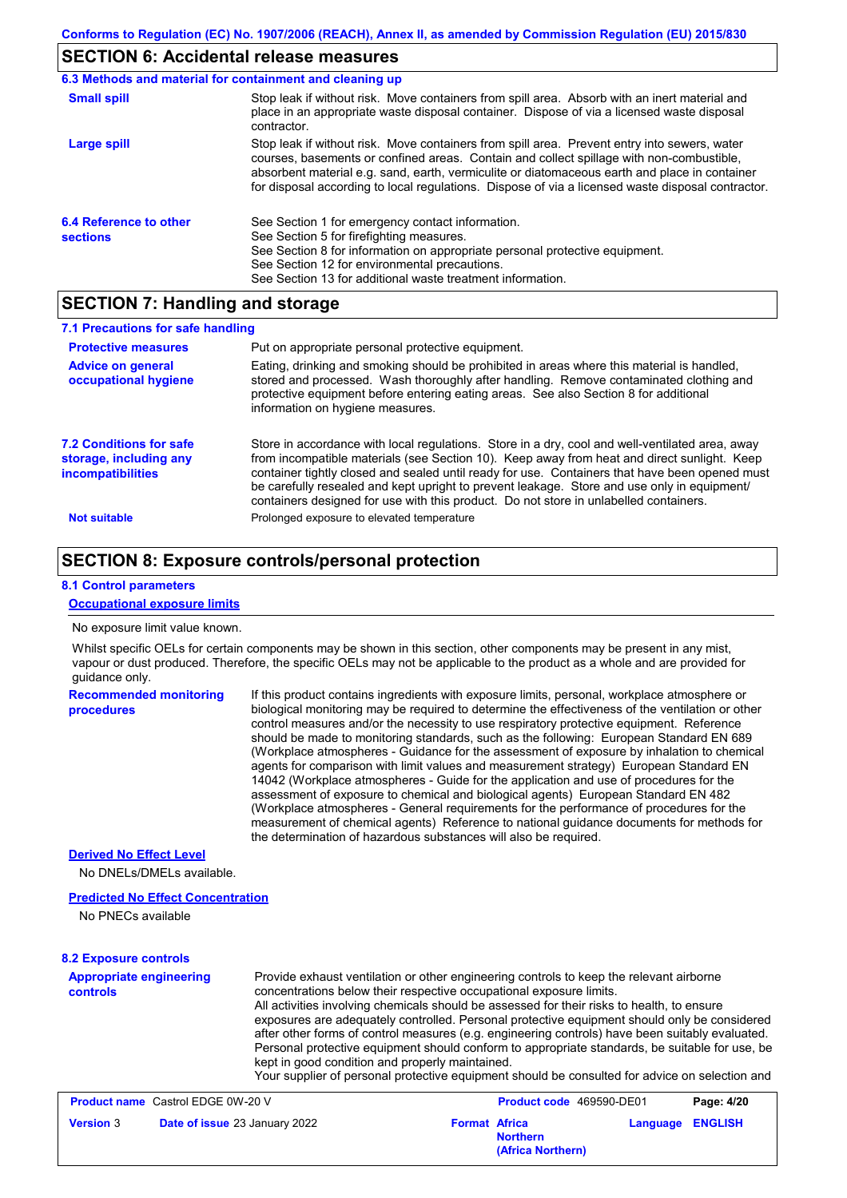# **SECTION 6: Accidental release measures**

|                                           | 6.3 Methods and material for containment and cleaning up                                                                                                                                                                                                                                                                                                                                       |
|-------------------------------------------|------------------------------------------------------------------------------------------------------------------------------------------------------------------------------------------------------------------------------------------------------------------------------------------------------------------------------------------------------------------------------------------------|
| <b>Small spill</b>                        | Stop leak if without risk. Move containers from spill area. Absorb with an inert material and<br>place in an appropriate waste disposal container. Dispose of via a licensed waste disposal<br>contractor.                                                                                                                                                                                     |
| Large spill                               | Stop leak if without risk. Move containers from spill area. Prevent entry into sewers, water<br>courses, basements or confined areas. Contain and collect spillage with non-combustible,<br>absorbent material e.g. sand, earth, vermiculite or diatomaceous earth and place in container<br>for disposal according to local regulations. Dispose of via a licensed waste disposal contractor. |
| 6.4 Reference to other<br><b>sections</b> | See Section 1 for emergency contact information.<br>See Section 5 for firefighting measures.<br>See Section 8 for information on appropriate personal protective equipment.<br>See Section 12 for environmental precautions.<br>See Section 13 for additional waste treatment information.                                                                                                     |

## **SECTION 7: Handling and storage**

| 7.1 Precautions for safe handling                                             |                                                                                                                                                                                                                                                                                                                                                                                                                                                                                          |
|-------------------------------------------------------------------------------|------------------------------------------------------------------------------------------------------------------------------------------------------------------------------------------------------------------------------------------------------------------------------------------------------------------------------------------------------------------------------------------------------------------------------------------------------------------------------------------|
| <b>Protective measures</b>                                                    | Put on appropriate personal protective equipment.                                                                                                                                                                                                                                                                                                                                                                                                                                        |
| <b>Advice on general</b><br>occupational hygiene                              | Eating, drinking and smoking should be prohibited in areas where this material is handled,<br>stored and processed. Wash thoroughly after handling. Remove contaminated clothing and<br>protective equipment before entering eating areas. See also Section 8 for additional<br>information on hygiene measures.                                                                                                                                                                         |
| 7.2 Conditions for safe<br>storage, including any<br><i>incompatibilities</i> | Store in accordance with local regulations. Store in a dry, cool and well-ventilated area, away<br>from incompatible materials (see Section 10). Keep away from heat and direct sunlight. Keep<br>container tightly closed and sealed until ready for use. Containers that have been opened must<br>be carefully resealed and kept upright to prevent leakage. Store and use only in equipment/<br>containers designed for use with this product. Do not store in unlabelled containers. |
| <b>Not suitable</b>                                                           | Prolonged exposure to elevated temperature                                                                                                                                                                                                                                                                                                                                                                                                                                               |

# **SECTION 8: Exposure controls/personal protection**

#### **8.1 Control parameters**

#### **Occupational exposure limits**

#### No exposure limit value known.

Whilst specific OELs for certain components may be shown in this section, other components may be present in any mist, vapour or dust produced. Therefore, the specific OELs may not be applicable to the product as a whole and are provided for guidance only.

| <b>procedures</b> | should be made to monitoring standards, such as the following: European Standard EN 689<br>(Workplace atmospheres - Guidance for the assessment of exposure by inhalation to chemical<br>agents for comparison with limit values and measurement strategy) European Standard EN<br>14042 (Workplace atmospheres - Guide for the application and use of procedures for the<br>assessment of exposure to chemical and biological agents) European Standard EN 482<br>(Workplace atmospheres - General requirements for the performance of procedures for the<br>measurement of chemical agents) Reference to national guidance documents for methods for<br>the determination of hazardous substances will also be required. |
|-------------------|----------------------------------------------------------------------------------------------------------------------------------------------------------------------------------------------------------------------------------------------------------------------------------------------------------------------------------------------------------------------------------------------------------------------------------------------------------------------------------------------------------------------------------------------------------------------------------------------------------------------------------------------------------------------------------------------------------------------------|
|-------------------|----------------------------------------------------------------------------------------------------------------------------------------------------------------------------------------------------------------------------------------------------------------------------------------------------------------------------------------------------------------------------------------------------------------------------------------------------------------------------------------------------------------------------------------------------------------------------------------------------------------------------------------------------------------------------------------------------------------------------|

#### **Derived No Effect Level**

No DNELs/DMELs available.

#### **Predicted No Effect Concentration**

No PNECs available

| <b>8.2 Exposure controls</b>                      |                                                                                                                                                                                                                                                                                                                                                                                                                                                                                                                                                                                                                                                                                                                        |                      |                          |          |                |
|---------------------------------------------------|------------------------------------------------------------------------------------------------------------------------------------------------------------------------------------------------------------------------------------------------------------------------------------------------------------------------------------------------------------------------------------------------------------------------------------------------------------------------------------------------------------------------------------------------------------------------------------------------------------------------------------------------------------------------------------------------------------------------|----------------------|--------------------------|----------|----------------|
| <b>Appropriate engineering</b><br><b>controls</b> | Provide exhaust ventilation or other engineering controls to keep the relevant airborne<br>concentrations below their respective occupational exposure limits.<br>All activities involving chemicals should be assessed for their risks to health, to ensure<br>exposures are adequately controlled. Personal protective equipment should only be considered<br>after other forms of control measures (e.g. engineering controls) have been suitably evaluated.<br>Personal protective equipment should conform to appropriate standards, be suitable for use, be<br>kept in good condition and properly maintained.<br>Your supplier of personal protective equipment should be consulted for advice on selection and |                      |                          |          |                |
| <b>Product name</b> Castrol EDGE 0W-20 V          |                                                                                                                                                                                                                                                                                                                                                                                                                                                                                                                                                                                                                                                                                                                        |                      | Product code 469590-DE01 |          | Page: 4/20     |
| <b>Version 3</b>                                  | Date of issue 23 January 2022                                                                                                                                                                                                                                                                                                                                                                                                                                                                                                                                                                                                                                                                                          | <b>Format Africa</b> | <b>Northern</b>          | Language | <b>ENGLISH</b> |

**(Africa Northern)**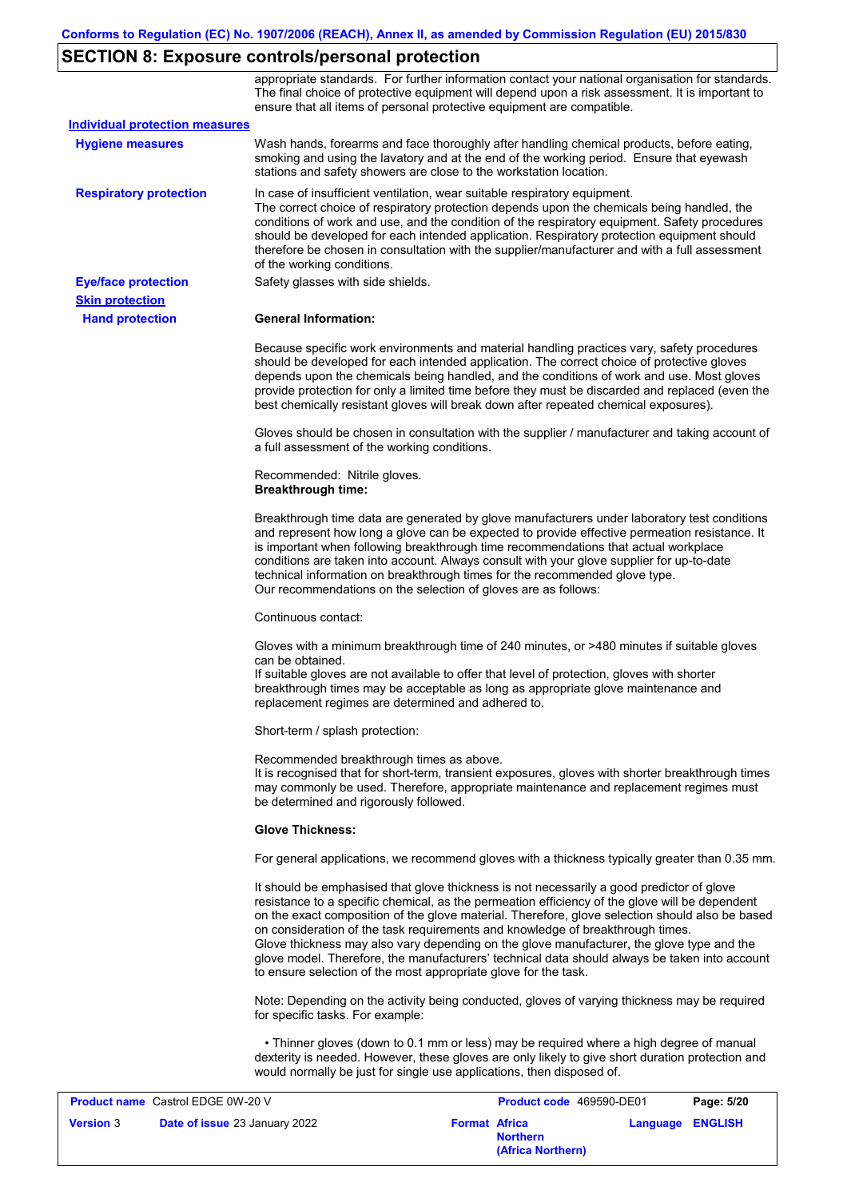# **SECTION 8: Exposure controls/personal protection**

|                                       | appropriate standards. For further information contact your national organisation for standards.<br>The final choice of protective equipment will depend upon a risk assessment. It is important to<br>ensure that all items of personal protective equipment are compatible.                                                                                                                                                                                                                                                                                                                                                                     |
|---------------------------------------|---------------------------------------------------------------------------------------------------------------------------------------------------------------------------------------------------------------------------------------------------------------------------------------------------------------------------------------------------------------------------------------------------------------------------------------------------------------------------------------------------------------------------------------------------------------------------------------------------------------------------------------------------|
| <b>Individual protection measures</b> |                                                                                                                                                                                                                                                                                                                                                                                                                                                                                                                                                                                                                                                   |
| <b>Hygiene measures</b>               | Wash hands, forearms and face thoroughly after handling chemical products, before eating,<br>smoking and using the lavatory and at the end of the working period. Ensure that eyewash<br>stations and safety showers are close to the workstation location.                                                                                                                                                                                                                                                                                                                                                                                       |
| <b>Respiratory protection</b>         | In case of insufficient ventilation, wear suitable respiratory equipment.<br>The correct choice of respiratory protection depends upon the chemicals being handled, the<br>conditions of work and use, and the condition of the respiratory equipment. Safety procedures<br>should be developed for each intended application. Respiratory protection equipment should<br>therefore be chosen in consultation with the supplier/manufacturer and with a full assessment<br>of the working conditions.                                                                                                                                             |
| <b>Eye/face protection</b>            | Safety glasses with side shields.                                                                                                                                                                                                                                                                                                                                                                                                                                                                                                                                                                                                                 |
| <b>Skin protection</b>                |                                                                                                                                                                                                                                                                                                                                                                                                                                                                                                                                                                                                                                                   |
| <b>Hand protection</b>                | <b>General Information:</b>                                                                                                                                                                                                                                                                                                                                                                                                                                                                                                                                                                                                                       |
|                                       | Because specific work environments and material handling practices vary, safety procedures<br>should be developed for each intended application. The correct choice of protective gloves<br>depends upon the chemicals being handled, and the conditions of work and use. Most gloves<br>provide protection for only a limited time before they must be discarded and replaced (even the<br>best chemically resistant gloves will break down after repeated chemical exposures).                                                                                                                                                                  |
|                                       | Gloves should be chosen in consultation with the supplier / manufacturer and taking account of<br>a full assessment of the working conditions.                                                                                                                                                                                                                                                                                                                                                                                                                                                                                                    |
|                                       | Recommended: Nitrile gloves.<br><b>Breakthrough time:</b>                                                                                                                                                                                                                                                                                                                                                                                                                                                                                                                                                                                         |
|                                       | Breakthrough time data are generated by glove manufacturers under laboratory test conditions<br>and represent how long a glove can be expected to provide effective permeation resistance. It<br>is important when following breakthrough time recommendations that actual workplace<br>conditions are taken into account. Always consult with your glove supplier for up-to-date<br>technical information on breakthrough times for the recommended glove type.<br>Our recommendations on the selection of gloves are as follows:                                                                                                                |
|                                       | Continuous contact:                                                                                                                                                                                                                                                                                                                                                                                                                                                                                                                                                                                                                               |
|                                       | Gloves with a minimum breakthrough time of 240 minutes, or >480 minutes if suitable gloves<br>can be obtained.<br>If suitable gloves are not available to offer that level of protection, gloves with shorter<br>breakthrough times may be acceptable as long as appropriate glove maintenance and<br>replacement regimes are determined and adhered to.                                                                                                                                                                                                                                                                                          |
|                                       | Short-term / splash protection:                                                                                                                                                                                                                                                                                                                                                                                                                                                                                                                                                                                                                   |
|                                       | Recommended breakthrough times as above.<br>It is recognised that for short-term, transient exposures, gloves with shorter breakthrough times<br>may commonly be used. Therefore, appropriate maintenance and replacement regimes must<br>be determined and rigorously followed.                                                                                                                                                                                                                                                                                                                                                                  |
|                                       | <b>Glove Thickness:</b>                                                                                                                                                                                                                                                                                                                                                                                                                                                                                                                                                                                                                           |
|                                       | For general applications, we recommend gloves with a thickness typically greater than 0.35 mm.                                                                                                                                                                                                                                                                                                                                                                                                                                                                                                                                                    |
|                                       | It should be emphasised that glove thickness is not necessarily a good predictor of glove<br>resistance to a specific chemical, as the permeation efficiency of the glove will be dependent<br>on the exact composition of the glove material. Therefore, glove selection should also be based<br>on consideration of the task requirements and knowledge of breakthrough times.<br>Glove thickness may also vary depending on the glove manufacturer, the glove type and the<br>glove model. Therefore, the manufacturers' technical data should always be taken into account<br>to ensure selection of the most appropriate glove for the task. |
|                                       | Note: Depending on the activity being conducted, gloves of varying thickness may be required<br>for specific tasks. For example:                                                                                                                                                                                                                                                                                                                                                                                                                                                                                                                  |
|                                       | • Thinner gloves (down to 0.1 mm or less) may be required where a high degree of manual<br>dexterity is needed. However, these gloves are only likely to give short duration protection and<br>would normally be just for single use applications, then disposed of.                                                                                                                                                                                                                                                                                                                                                                              |
|                                       | ACOCOODCA                                                                                                                                                                                                                                                                                                                                                                                                                                                                                                                                                                                                                                         |

| <b>Product name</b> Castrol EDGE 0W-20 V |                                      | <b>Product code</b> 469590-DE01 |                                      | Page: 5/20              |  |
|------------------------------------------|--------------------------------------|---------------------------------|--------------------------------------|-------------------------|--|
| <b>Version</b> 3                         | <b>Date of issue 23 January 2022</b> | <b>Format Africa</b>            | <b>Northern</b><br>(Africa Northern) | <b>Language ENGLISH</b> |  |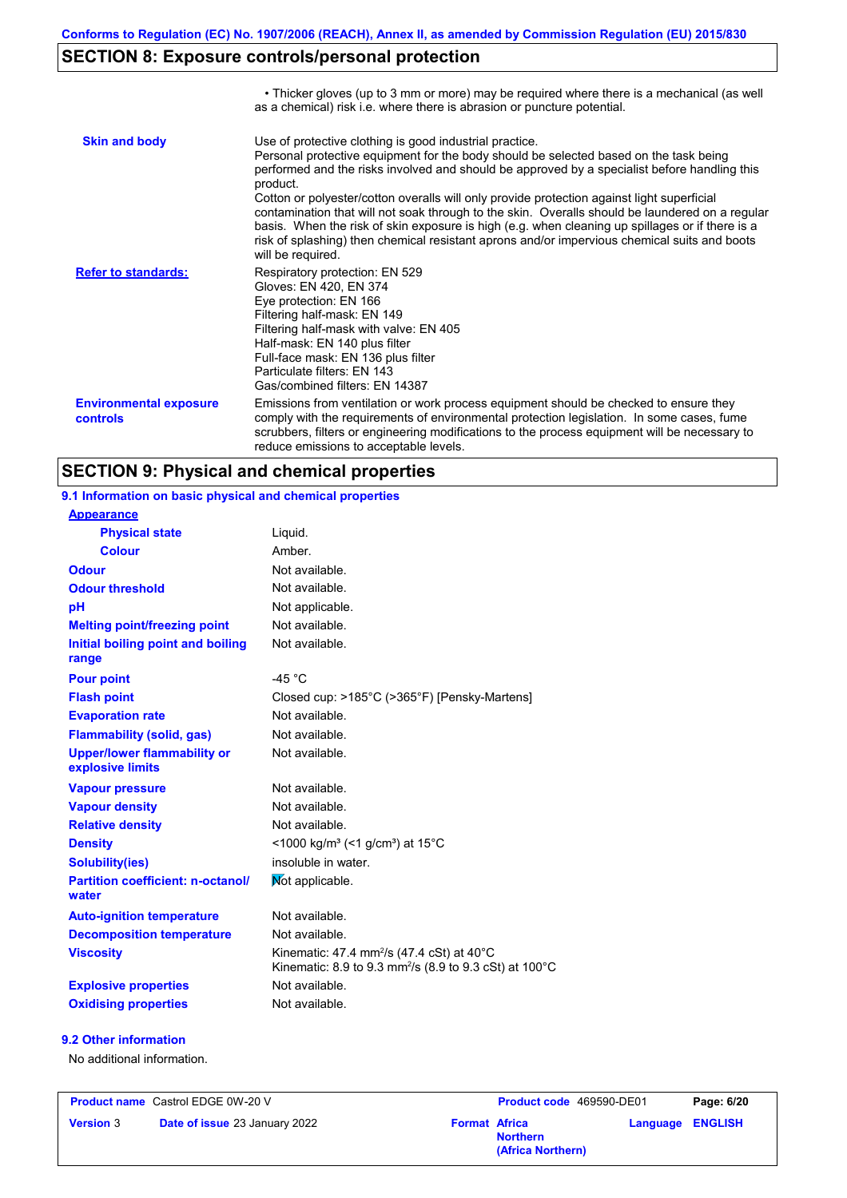# **SECTION 8: Exposure controls/personal protection**

|                                           | • Thicker gloves (up to 3 mm or more) may be required where there is a mechanical (as well<br>as a chemical) risk i.e. where there is abrasion or puncture potential.                                                                                                                                                                                                                                                                                                                                                                                                                                                                                                                 |
|-------------------------------------------|---------------------------------------------------------------------------------------------------------------------------------------------------------------------------------------------------------------------------------------------------------------------------------------------------------------------------------------------------------------------------------------------------------------------------------------------------------------------------------------------------------------------------------------------------------------------------------------------------------------------------------------------------------------------------------------|
| <b>Skin and body</b>                      | Use of protective clothing is good industrial practice.<br>Personal protective equipment for the body should be selected based on the task being<br>performed and the risks involved and should be approved by a specialist before handling this<br>product.<br>Cotton or polyester/cotton overalls will only provide protection against light superficial<br>contamination that will not soak through to the skin. Overalls should be laundered on a regular<br>basis. When the risk of skin exposure is high (e.g. when cleaning up spillages or if there is a<br>risk of splashing) then chemical resistant aprons and/or impervious chemical suits and boots<br>will be required. |
| <b>Refer to standards:</b>                | Respiratory protection: EN 529<br>Gloves: EN 420, EN 374<br>Eye protection: EN 166<br>Filtering half-mask: EN 149<br>Filtering half-mask with valve: EN 405<br>Half-mask: EN 140 plus filter<br>Full-face mask: EN 136 plus filter<br>Particulate filters: EN 143<br>Gas/combined filters: EN 14387                                                                                                                                                                                                                                                                                                                                                                                   |
| <b>Environmental exposure</b><br>controls | Emissions from ventilation or work process equipment should be checked to ensure they<br>comply with the requirements of environmental protection legislation. In some cases, fume<br>scrubbers, filters or engineering modifications to the process equipment will be necessary to<br>reduce emissions to acceptable levels.                                                                                                                                                                                                                                                                                                                                                         |

# **SECTION 9: Physical and chemical properties**

| 9.1 Information on basic physical and chemical properties |                                                                                                                             |
|-----------------------------------------------------------|-----------------------------------------------------------------------------------------------------------------------------|
| <b>Appearance</b>                                         |                                                                                                                             |
| <b>Physical state</b>                                     | Liquid.                                                                                                                     |
| <b>Colour</b>                                             | Amber.                                                                                                                      |
| <b>Odour</b>                                              | Not available.                                                                                                              |
| <b>Odour threshold</b>                                    | Not available.                                                                                                              |
| pH                                                        | Not applicable.                                                                                                             |
| <b>Melting point/freezing point</b>                       | Not available.                                                                                                              |
| Initial boiling point and boiling<br>range                | Not available.                                                                                                              |
| <b>Pour point</b>                                         | $-45 °C$                                                                                                                    |
| <b>Flash point</b>                                        | Closed cup: >185°C (>365°F) [Pensky-Martens]                                                                                |
| <b>Evaporation rate</b>                                   | Not available.                                                                                                              |
| <b>Flammability (solid, gas)</b>                          | Not available.                                                                                                              |
| <b>Upper/lower flammability or</b><br>explosive limits    | Not available.                                                                                                              |
| <b>Vapour pressure</b>                                    | Not available.                                                                                                              |
| <b>Vapour density</b>                                     | Not available.                                                                                                              |
| <b>Relative density</b>                                   | Not available.                                                                                                              |
| <b>Density</b>                                            | <1000 kg/m <sup>3</sup> (<1 g/cm <sup>3</sup> ) at 15 <sup>°</sup> C                                                        |
| Solubility(ies)                                           | insoluble in water.                                                                                                         |
| <b>Partition coefficient: n-octanol/</b><br>water         | Mot applicable.                                                                                                             |
| <b>Auto-ignition temperature</b>                          | Not available.                                                                                                              |
| <b>Decomposition temperature</b>                          | Not available.                                                                                                              |
| <b>Viscosity</b>                                          | Kinematic: 47.4 mm <sup>2</sup> /s (47.4 cSt) at 40°C<br>Kinematic: 8.9 to 9.3 mm <sup>2</sup> /s (8.9 to 9.3 cSt) at 100°C |
| <b>Explosive properties</b>                               | Not available.                                                                                                              |
| <b>Oxidising properties</b>                               | Not available.                                                                                                              |

#### **9.2 Other information**

No additional information.

| <b>Product name</b> Castrol EDGE 0W-20 V |                                      |                      | <b>Product code</b> 469590-DE01      |                         | Page: 6/20 |
|------------------------------------------|--------------------------------------|----------------------|--------------------------------------|-------------------------|------------|
| <b>Version 3</b>                         | <b>Date of issue 23 January 2022</b> | <b>Format Africa</b> | <b>Northern</b><br>(Africa Northern) | <b>Language ENGLISH</b> |            |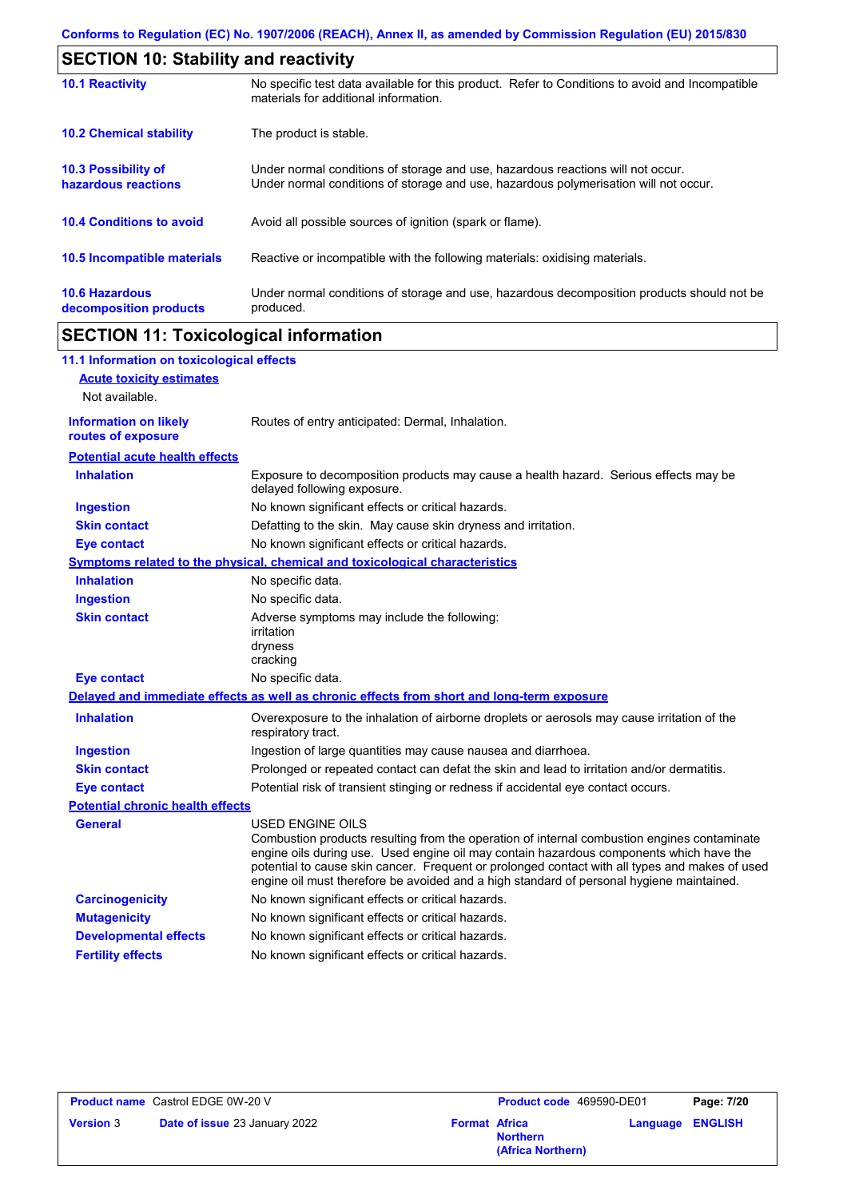| <b>SECTION 10: Stability and reactivity</b>     |                                                                                                                                                                         |  |  |
|-------------------------------------------------|-------------------------------------------------------------------------------------------------------------------------------------------------------------------------|--|--|
| <b>10.1 Reactivity</b>                          | No specific test data available for this product. Refer to Conditions to avoid and Incompatible<br>materials for additional information.                                |  |  |
| <b>10.2 Chemical stability</b>                  | The product is stable.                                                                                                                                                  |  |  |
| 10.3 Possibility of<br>hazardous reactions      | Under normal conditions of storage and use, hazardous reactions will not occur.<br>Under normal conditions of storage and use, hazardous polymerisation will not occur. |  |  |
| <b>10.4 Conditions to avoid</b>                 | Avoid all possible sources of ignition (spark or flame).                                                                                                                |  |  |
| 10.5 Incompatible materials                     | Reactive or incompatible with the following materials: oxidising materials.                                                                                             |  |  |
| <b>10.6 Hazardous</b><br>decomposition products | Under normal conditions of storage and use, hazardous decomposition products should not be<br>produced.                                                                 |  |  |

# **SECTION 11: Toxicological information**

 $\mathsf{r}$ 

| 11.1 Information on toxicological effects          |                                                                                                                                                                                                                                                                                                                                                                                                                 |
|----------------------------------------------------|-----------------------------------------------------------------------------------------------------------------------------------------------------------------------------------------------------------------------------------------------------------------------------------------------------------------------------------------------------------------------------------------------------------------|
| <b>Acute toxicity estimates</b>                    |                                                                                                                                                                                                                                                                                                                                                                                                                 |
| Not available.                                     |                                                                                                                                                                                                                                                                                                                                                                                                                 |
| <b>Information on likely</b><br>routes of exposure | Routes of entry anticipated: Dermal, Inhalation.                                                                                                                                                                                                                                                                                                                                                                |
| <b>Potential acute health effects</b>              |                                                                                                                                                                                                                                                                                                                                                                                                                 |
| <b>Inhalation</b>                                  | Exposure to decomposition products may cause a health hazard. Serious effects may be<br>delayed following exposure.                                                                                                                                                                                                                                                                                             |
| <b>Ingestion</b>                                   | No known significant effects or critical hazards.                                                                                                                                                                                                                                                                                                                                                               |
| <b>Skin contact</b>                                | Defatting to the skin. May cause skin dryness and irritation.                                                                                                                                                                                                                                                                                                                                                   |
| <b>Eye contact</b>                                 | No known significant effects or critical hazards.                                                                                                                                                                                                                                                                                                                                                               |
|                                                    | <b>Symptoms related to the physical, chemical and toxicological characteristics</b>                                                                                                                                                                                                                                                                                                                             |
| <b>Inhalation</b>                                  | No specific data.                                                                                                                                                                                                                                                                                                                                                                                               |
| <b>Ingestion</b>                                   | No specific data.                                                                                                                                                                                                                                                                                                                                                                                               |
| <b>Skin contact</b>                                | Adverse symptoms may include the following:<br>irritation<br>dryness<br>cracking                                                                                                                                                                                                                                                                                                                                |
| <b>Eye contact</b>                                 | No specific data.                                                                                                                                                                                                                                                                                                                                                                                               |
|                                                    | Delayed and immediate effects as well as chronic effects from short and long-term exposure                                                                                                                                                                                                                                                                                                                      |
| <b>Inhalation</b>                                  | Overexposure to the inhalation of airborne droplets or aerosols may cause irritation of the<br>respiratory tract.                                                                                                                                                                                                                                                                                               |
| <b>Ingestion</b>                                   | Ingestion of large quantities may cause nausea and diarrhoea.                                                                                                                                                                                                                                                                                                                                                   |
| <b>Skin contact</b>                                | Prolonged or repeated contact can defat the skin and lead to irritation and/or dermatitis.                                                                                                                                                                                                                                                                                                                      |
| <b>Eye contact</b>                                 | Potential risk of transient stinging or redness if accidental eye contact occurs.                                                                                                                                                                                                                                                                                                                               |
| <b>Potential chronic health effects</b>            |                                                                                                                                                                                                                                                                                                                                                                                                                 |
| <b>General</b>                                     | <b>USED ENGINE OILS</b><br>Combustion products resulting from the operation of internal combustion engines contaminate<br>engine oils during use. Used engine oil may contain hazardous components which have the<br>potential to cause skin cancer. Frequent or prolonged contact with all types and makes of used<br>engine oil must therefore be avoided and a high standard of personal hygiene maintained. |
| <b>Carcinogenicity</b>                             | No known significant effects or critical hazards.                                                                                                                                                                                                                                                                                                                                                               |
| <b>Mutagenicity</b>                                | No known significant effects or critical hazards.                                                                                                                                                                                                                                                                                                                                                               |
| <b>Developmental effects</b>                       | No known significant effects or critical hazards.                                                                                                                                                                                                                                                                                                                                                               |
| <b>Fertility effects</b>                           | No known significant effects or critical hazards.                                                                                                                                                                                                                                                                                                                                                               |

| <b>Product name</b> Castrol EDGE 0W-20 V |                               | <b>Product code</b> 469590-DE01 |                                      | Page: 7/20 |                |
|------------------------------------------|-------------------------------|---------------------------------|--------------------------------------|------------|----------------|
| <b>Version 3</b>                         | Date of issue 23 January 2022 | <b>Format Africa</b>            | <b>Northern</b><br>(Africa Northern) | Language   | <b>ENGLISH</b> |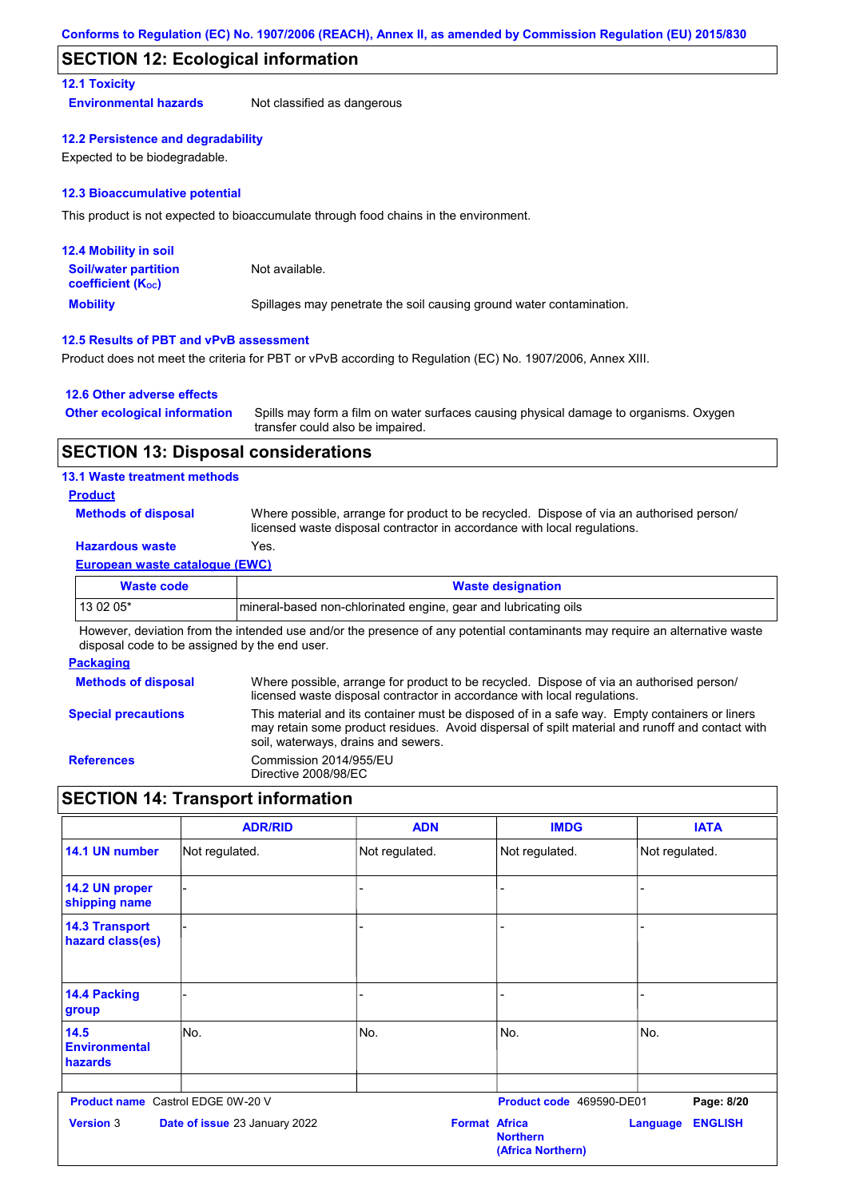#### **SECTION 12: Ecological information**

#### **12.1 Toxicity**

**Environmental hazards** Not classified as dangerous

#### **12.2 Persistence and degradability**

Expected to be biodegradable.

#### **12.3 Bioaccumulative potential**

This product is not expected to bioaccumulate through food chains in the environment.

| <b>12.4 Mobility in soil</b>                                  |                                                                      |
|---------------------------------------------------------------|----------------------------------------------------------------------|
| <b>Soil/water partition</b><br>coefficient (K <sub>oc</sub> ) | Not available.                                                       |
| <b>Mobility</b>                                               | Spillages may penetrate the soil causing ground water contamination. |

#### **12.5 Results of PBT and vPvB assessment**

Product does not meet the criteria for PBT or vPvB according to Regulation (EC) No. 1907/2006, Annex XIII.

#### **12.6 Other adverse effects**

| <b>Other ecological information</b> | Spills may form a film on water surfaces causing physical damage to organisms. Oxygen |
|-------------------------------------|---------------------------------------------------------------------------------------|
|                                     | transfer could also be impaired.                                                      |

#### **SECTION 13: Disposal considerations**

#### **13.1 Waste treatment methods**

#### **Product**

**Methods of disposal**

Where possible, arrange for product to be recycled. Dispose of via an authorised person/ licensed waste disposal contractor in accordance with local regulations.

#### **Hazardous waste** Yes.

#### **European waste catalogue (EWC)**

| Waste code | <b>Waste designation</b>                                        |
|------------|-----------------------------------------------------------------|
| 13 02 05*  | mineral-based non-chlorinated engine, gear and lubricating oils |

However, deviation from the intended use and/or the presence of any potential contaminants may require an alternative waste disposal code to be assigned by the end user.

#### **Packaging**

| <b>Methods of disposal</b> | Where possible, arrange for product to be recycled. Dispose of via an authorised person/<br>licensed waste disposal contractor in accordance with local regulations.                                                                    |
|----------------------------|-----------------------------------------------------------------------------------------------------------------------------------------------------------------------------------------------------------------------------------------|
| <b>Special precautions</b> | This material and its container must be disposed of in a safe way. Empty containers or liners<br>may retain some product residues. Avoid dispersal of spilt material and runoff and contact with<br>soil, waterways, drains and sewers. |
| <b>References</b>          | Commission 2014/955/EU<br>Directive 2008/98/EC                                                                                                                                                                                          |

# **SECTION 14: Transport information**

|                                           | <b>ADR/RID</b>                           | <b>ADN</b>           | <b>IMDG</b>                          | <b>IATA</b>                       |
|-------------------------------------------|------------------------------------------|----------------------|--------------------------------------|-----------------------------------|
| 14.1 UN number                            | Not regulated.                           | Not regulated.       | Not regulated.                       | Not regulated.                    |
| 14.2 UN proper<br>shipping name           |                                          |                      |                                      |                                   |
| <b>14.3 Transport</b><br>hazard class(es) |                                          |                      |                                      |                                   |
| 14.4 Packing<br>group                     |                                          |                      |                                      |                                   |
| 14.5<br><b>Environmental</b><br>hazards   | No.                                      | No.                  | No.                                  | No.                               |
|                                           | <b>Product name</b> Castrol EDGE 0W-20 V |                      | Product code 469590-DE01             | Page: 8/20                        |
| <b>Version 3</b>                          | Date of issue 23 January 2022            | <b>Format Africa</b> | <b>Northern</b><br>(Africa Northern) | <b>ENGLISH</b><br><b>Language</b> |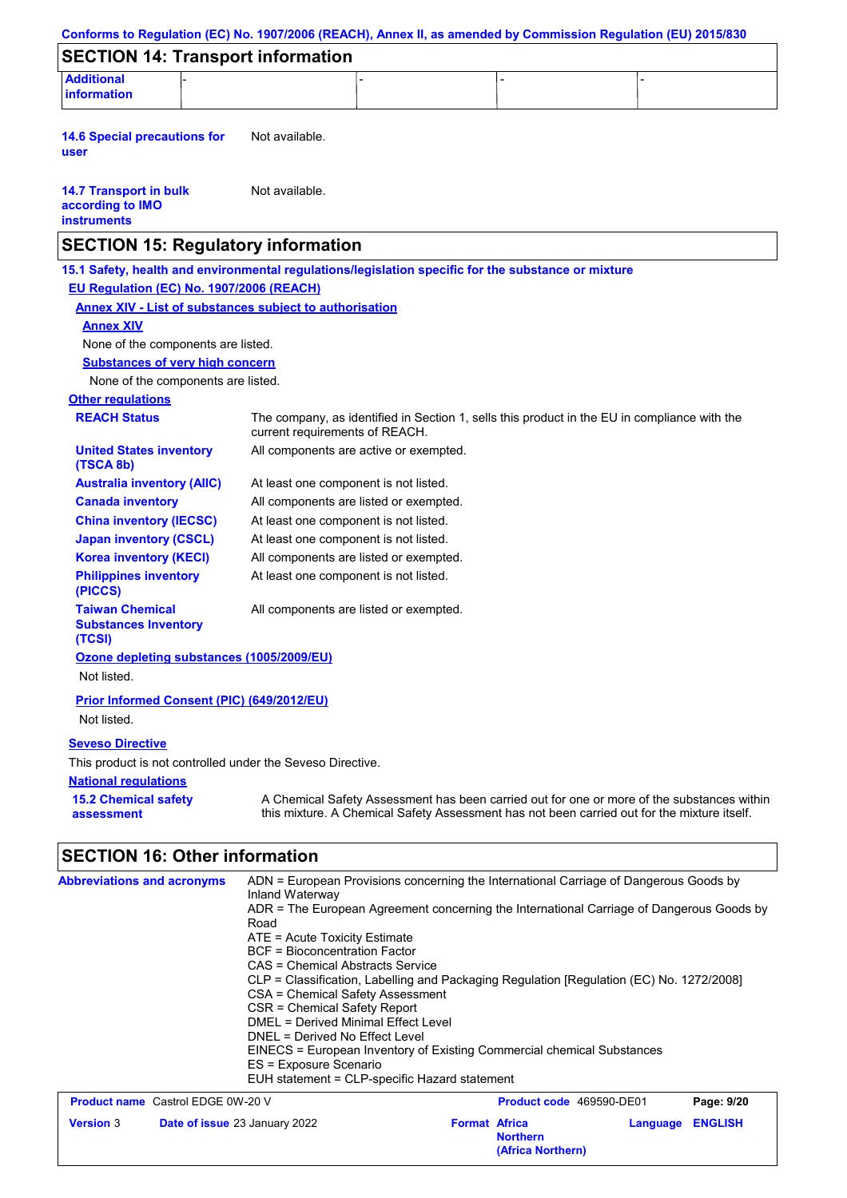| Conforms to Regulation (EC) No. 1907/2006 (REACH), Annex II, as amended by Commission Regulation (EU) 2015/830                                  |                                                                                                                                                                                                                                                                                                                           |                                               |                                                                                                                                                                                                                                                                                                                                                         |                            |
|-------------------------------------------------------------------------------------------------------------------------------------------------|---------------------------------------------------------------------------------------------------------------------------------------------------------------------------------------------------------------------------------------------------------------------------------------------------------------------------|-----------------------------------------------|---------------------------------------------------------------------------------------------------------------------------------------------------------------------------------------------------------------------------------------------------------------------------------------------------------------------------------------------------------|----------------------------|
| <b>SECTION 14: Transport information</b>                                                                                                        |                                                                                                                                                                                                                                                                                                                           |                                               |                                                                                                                                                                                                                                                                                                                                                         |                            |
| <b>Additional</b>                                                                                                                               |                                                                                                                                                                                                                                                                                                                           |                                               |                                                                                                                                                                                                                                                                                                                                                         |                            |
| information                                                                                                                                     |                                                                                                                                                                                                                                                                                                                           |                                               |                                                                                                                                                                                                                                                                                                                                                         |                            |
| <b>14.6 Special precautions for</b><br>user                                                                                                     | Not available.                                                                                                                                                                                                                                                                                                            |                                               |                                                                                                                                                                                                                                                                                                                                                         |                            |
| <b>14.7 Transport in bulk</b><br>according to IMO<br><b>instruments</b>                                                                         | Not available.                                                                                                                                                                                                                                                                                                            |                                               |                                                                                                                                                                                                                                                                                                                                                         |                            |
| <b>SECTION 15: Regulatory information</b>                                                                                                       |                                                                                                                                                                                                                                                                                                                           |                                               |                                                                                                                                                                                                                                                                                                                                                         |                            |
| 15.1 Safety, health and environmental regulations/legislation specific for the substance or mixture<br>EU Regulation (EC) No. 1907/2006 (REACH) |                                                                                                                                                                                                                                                                                                                           |                                               |                                                                                                                                                                                                                                                                                                                                                         |                            |
| <b>Annex XIV - List of substances subject to authorisation</b>                                                                                  |                                                                                                                                                                                                                                                                                                                           |                                               |                                                                                                                                                                                                                                                                                                                                                         |                            |
| <b>Annex XIV</b>                                                                                                                                |                                                                                                                                                                                                                                                                                                                           |                                               |                                                                                                                                                                                                                                                                                                                                                         |                            |
| None of the components are listed.                                                                                                              |                                                                                                                                                                                                                                                                                                                           |                                               |                                                                                                                                                                                                                                                                                                                                                         |                            |
| <b>Substances of very high concern</b>                                                                                                          |                                                                                                                                                                                                                                                                                                                           |                                               |                                                                                                                                                                                                                                                                                                                                                         |                            |
| None of the components are listed.                                                                                                              |                                                                                                                                                                                                                                                                                                                           |                                               |                                                                                                                                                                                                                                                                                                                                                         |                            |
| <b>Other regulations</b><br><b>REACH Status</b>                                                                                                 |                                                                                                                                                                                                                                                                                                                           |                                               |                                                                                                                                                                                                                                                                                                                                                         |                            |
|                                                                                                                                                 | current requirements of REACH.                                                                                                                                                                                                                                                                                            |                                               | The company, as identified in Section 1, sells this product in the EU in compliance with the                                                                                                                                                                                                                                                            |                            |
| <b>United States inventory</b><br>(TSCA 8b)                                                                                                     |                                                                                                                                                                                                                                                                                                                           | All components are active or exempted.        |                                                                                                                                                                                                                                                                                                                                                         |                            |
| <b>Australia inventory (AIIC)</b>                                                                                                               | At least one component is not listed.                                                                                                                                                                                                                                                                                     |                                               |                                                                                                                                                                                                                                                                                                                                                         |                            |
| <b>Canada inventory</b>                                                                                                                         |                                                                                                                                                                                                                                                                                                                           | All components are listed or exempted.        |                                                                                                                                                                                                                                                                                                                                                         |                            |
| <b>China inventory (IECSC)</b>                                                                                                                  | At least one component is not listed.                                                                                                                                                                                                                                                                                     |                                               |                                                                                                                                                                                                                                                                                                                                                         |                            |
| <b>Japan inventory (CSCL)</b>                                                                                                                   | At least one component is not listed.                                                                                                                                                                                                                                                                                     |                                               |                                                                                                                                                                                                                                                                                                                                                         |                            |
| <b>Korea inventory (KECI)</b>                                                                                                                   |                                                                                                                                                                                                                                                                                                                           | All components are listed or exempted.        |                                                                                                                                                                                                                                                                                                                                                         |                            |
| <b>Philippines inventory</b><br>(PICCS)                                                                                                         | At least one component is not listed.                                                                                                                                                                                                                                                                                     |                                               |                                                                                                                                                                                                                                                                                                                                                         |                            |
| <b>Taiwan Chemical</b><br><b>Substances Inventory</b><br>(TCSI)                                                                                 |                                                                                                                                                                                                                                                                                                                           | All components are listed or exempted.        |                                                                                                                                                                                                                                                                                                                                                         |                            |
| Ozone depleting substances (1005/2009/EU)                                                                                                       |                                                                                                                                                                                                                                                                                                                           |                                               |                                                                                                                                                                                                                                                                                                                                                         |                            |
| Not listed.                                                                                                                                     |                                                                                                                                                                                                                                                                                                                           |                                               |                                                                                                                                                                                                                                                                                                                                                         |                            |
| Prior Informed Consent (PIC) (649/2012/EU)<br>Not listed.                                                                                       |                                                                                                                                                                                                                                                                                                                           |                                               |                                                                                                                                                                                                                                                                                                                                                         |                            |
| <b>Seveso Directive</b>                                                                                                                         |                                                                                                                                                                                                                                                                                                                           |                                               |                                                                                                                                                                                                                                                                                                                                                         |                            |
| This product is not controlled under the Seveso Directive.                                                                                      |                                                                                                                                                                                                                                                                                                                           |                                               |                                                                                                                                                                                                                                                                                                                                                         |                            |
| <b>National regulations</b>                                                                                                                     |                                                                                                                                                                                                                                                                                                                           |                                               |                                                                                                                                                                                                                                                                                                                                                         |                            |
| <b>15.2 Chemical safety</b><br>assessment                                                                                                       |                                                                                                                                                                                                                                                                                                                           |                                               | A Chemical Safety Assessment has been carried out for one or more of the substances within<br>this mixture. A Chemical Safety Assessment has not been carried out for the mixture itself.                                                                                                                                                               |                            |
| <b>SECTION 16: Other information</b>                                                                                                            |                                                                                                                                                                                                                                                                                                                           |                                               |                                                                                                                                                                                                                                                                                                                                                         |                            |
| <b>Abbreviations and acronyms</b>                                                                                                               | Inland Waterway<br>Road<br>ATE = Acute Toxicity Estimate<br>BCF = Bioconcentration Factor<br><b>CAS = Chemical Abstracts Service</b><br>CSA = Chemical Safety Assessment<br><b>CSR = Chemical Safety Report</b><br><b>DMEL = Derived Minimal Effect Level</b><br>DNEL = Derived No Effect Level<br>ES = Exposure Scenario | EUH statement = CLP-specific Hazard statement | ADN = European Provisions concerning the International Carriage of Dangerous Goods by<br>ADR = The European Agreement concerning the International Carriage of Dangerous Goods by<br>CLP = Classification, Labelling and Packaging Regulation [Regulation (EC) No. 1272/2008]<br>EINECS = European Inventory of Existing Commercial chemical Substances |                            |
| <b>Product name</b> Castrol EDGE 0W-20 V                                                                                                        |                                                                                                                                                                                                                                                                                                                           |                                               | Product code 469590-DE01                                                                                                                                                                                                                                                                                                                                | Page: 9/20                 |
| <b>Version 3</b><br>Date of issue 23 January 2022                                                                                               |                                                                                                                                                                                                                                                                                                                           | <b>Format Africa</b>                          | <b>Northern</b><br>(Africa Northern)                                                                                                                                                                                                                                                                                                                    | <b>ENGLISH</b><br>Language |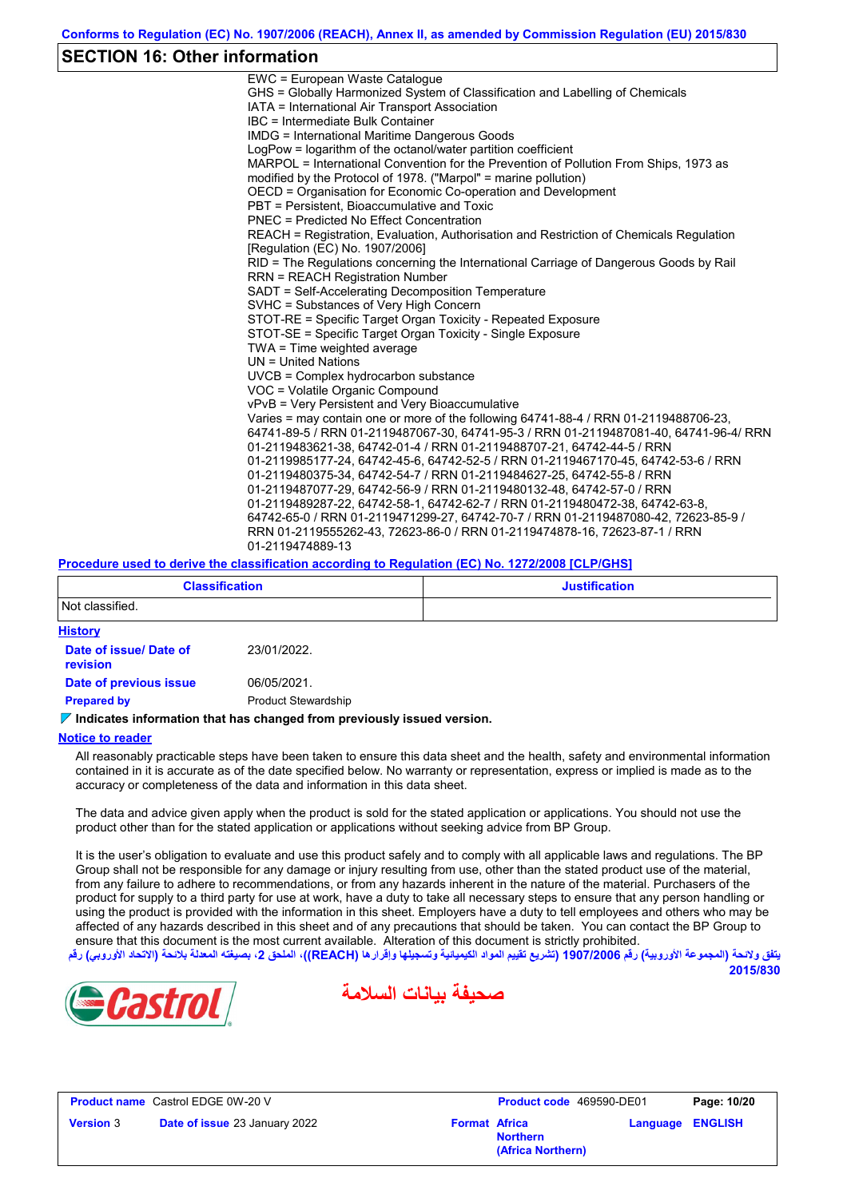## **SECTION 16: Other information**

| EWC = European Waste Catalogue                                                          |
|-----------------------------------------------------------------------------------------|
| GHS = Globally Harmonized System of Classification and Labelling of Chemicals           |
| IATA = International Air Transport Association                                          |
| IBC = Intermediate Bulk Container                                                       |
| IMDG = International Maritime Dangerous Goods                                           |
| LogPow = logarithm of the octanol/water partition coefficient                           |
| MARPOL = International Convention for the Prevention of Pollution From Ships, 1973 as   |
| modified by the Protocol of 1978. ("Marpol" = marine pollution)                         |
| OECD = Organisation for Economic Co-operation and Development                           |
| PBT = Persistent, Bioaccumulative and Toxic                                             |
| <b>PNEC = Predicted No Effect Concentration</b>                                         |
| REACH = Registration, Evaluation, Authorisation and Restriction of Chemicals Regulation |
| [Regulation (EC) No. 1907/2006]                                                         |
| RID = The Regulations concerning the International Carriage of Dangerous Goods by Rail  |
| <b>RRN = REACH Registration Number</b>                                                  |
| SADT = Self-Accelerating Decomposition Temperature                                      |
| SVHC = Substances of Very High Concern                                                  |
| STOT-RE = Specific Target Organ Toxicity - Repeated Exposure                            |
| STOT-SE = Specific Target Organ Toxicity - Single Exposure                              |
| TWA = Time weighted average                                                             |
| $UN = United Nations$                                                                   |
| $UVCB = Complex\;hydrocarbon\; substance$                                               |
| VOC = Volatile Organic Compound                                                         |
| vPvB = Very Persistent and Very Bioaccumulative                                         |
| Varies = may contain one or more of the following 64741-88-4 / RRN 01-2119488706-23,    |
| 64741-89-5 / RRN 01-2119487067-30, 64741-95-3 / RRN 01-2119487081-40, 64741-96-4/ RRN   |
| 01-2119483621-38, 64742-01-4 / RRN 01-2119488707-21, 64742-44-5 / RRN                   |
| 01-2119985177-24, 64742-45-6, 64742-52-5 / RRN 01-2119467170-45, 64742-53-6 / RRN       |
| 01-2119480375-34, 64742-54-7 / RRN 01-2119484627-25, 64742-55-8 / RRN                   |
| 01-2119487077-29, 64742-56-9 / RRN 01-2119480132-48, 64742-57-0 / RRN                   |
| 01-2119489287-22, 64742-58-1, 64742-62-7 / RRN 01-2119480472-38, 64742-63-8,            |
| 64742-65-0 / RRN 01-2119471299-27, 64742-70-7 / RRN 01-2119487080-42, 72623-85-9 /      |
| RRN 01-2119555262-43, 72623-86-0 / RRN 01-2119474878-16, 72623-87-1 / RRN               |
| 01-2119474889-13                                                                        |
|                                                                                         |

#### **Procedure used to derive the classification according to Regulation (EC) No. 1272/2008 [CLP/GHS]**

| <b>Classification</b>                     |                            | <b>Justification</b> |
|-------------------------------------------|----------------------------|----------------------|
| Not classified.                           |                            |                      |
| <b>History</b>                            |                            |                      |
| Date of issue/ Date of<br><b>revision</b> | 23/01/2022.                |                      |
| Date of previous issue                    | 06/05/2021.                |                      |
| <b>Prepared by</b>                        | <b>Product Stewardship</b> |                      |

#### **Indicates information that has changed from previously issued version.**

#### **Notice to reader**

All reasonably practicable steps have been taken to ensure this data sheet and the health, safety and environmental information contained in it is accurate as of the date specified below. No warranty or representation, express or implied is made as to the accuracy or completeness of the data and information in this data sheet.

The data and advice given apply when the product is sold for the stated application or applications. You should not use the product other than for the stated application or applications without seeking advice from BP Group.

It is the user's obligation to evaluate and use this product safely and to comply with all applicable laws and regulations. The BP Group shall not be responsible for any damage or injury resulting from use, other than the stated product use of the material, from any failure to adhere to recommendations, or from any hazards inherent in the nature of the material. Purchasers of the product for supply to a third party for use at work, have a duty to take all necessary steps to ensure that any person handling or using the product is provided with the information in this sheet. Employers have a duty to tell employees and others who may be affected of any hazards described in this sheet and of any precautions that should be taken. You can contact the BP Group to ensure that this document is the most current available. Alteration of this document is strictly prohibited.







**Product name** Castrol EDGE 0W-20 V **Version** 3 **Date of issue** 23 January 2022 **Format Africa** 

**Product code** 469590-DE01 **Page: 10/20 Northern**

**(Africa Northern)**

**Language ENGLISH**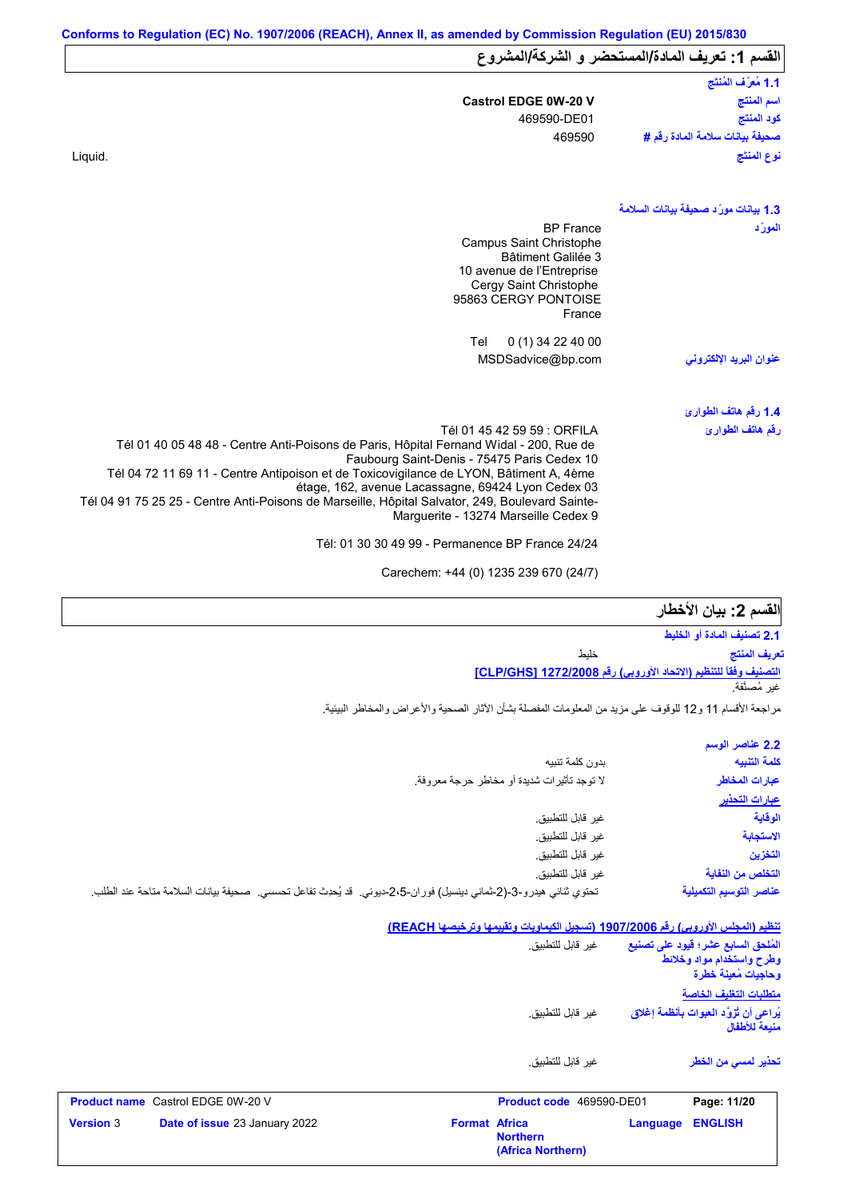| القسم 1: تعريف المادة/المستحضر و الشركة/المشروع |                                                                                                                                         |
|-------------------------------------------------|-----------------------------------------------------------------------------------------------------------------------------------------|
| 1.1 مُعرَّف المُنتَج                            |                                                                                                                                         |
| اسم المنتج                                      | <b>Castrol EDGE 0W-20 V</b>                                                                                                             |
| كود المنتج                                      | 469590-DE01                                                                                                                             |
| صحيفة بيانات سلامة المادة رفَم #                | 469590                                                                                                                                  |
| نوع المنتَج                                     | Liquid.                                                                                                                                 |
| 1.3 بيانات مورّد صحيفة بيانات السلامة           |                                                                                                                                         |
| المورّد                                         | <b>BP France</b>                                                                                                                        |
|                                                 | Campus Saint Christophe<br>Bâtiment Galilée 3                                                                                           |
|                                                 | 10 avenue de l'Entreprise                                                                                                               |
|                                                 | Cergy Saint Christophe                                                                                                                  |
|                                                 | 95863 CERGY PONTOISE<br>France                                                                                                          |
|                                                 |                                                                                                                                         |
|                                                 | Tel<br>$0(1)$ 34 22 40 00                                                                                                               |
| عنوان البريد الإلكترون <i>ى</i>                 | MSDSadvice@bp.com                                                                                                                       |
| 1.4 رقم هاتف الطوارئ                            |                                                                                                                                         |
| رقم هاتف الطوارئ                                | Tél 01 45 42 59 59 : ORFILA                                                                                                             |
|                                                 | Tél 01 40 05 48 48 - Centre Anti-Poisons de Paris, Hôpital Fernand Widal - 200, Rue de                                                  |
|                                                 | Faubourg Saint-Denis - 75475 Paris Cedex 10<br>Tél 04 72 11 69 11 - Centre Antipoison et de Toxicovigilance de LYON, Bâtiment A, 4ème   |
|                                                 | étage, 162, avenue Lacassagne, 69424 Lyon Cedex 03                                                                                      |
|                                                 | Tél 04 91 75 25 25 - Centre Anti-Poisons de Marseille, Hôpital Salvator, 249, Boulevard Sainte-<br>Marquerite - 13274 Marseille Cedex 9 |
|                                                 | Tél: 01 30 30 49 99 - Permanence BP France 24/24                                                                                        |
|                                                 |                                                                                                                                         |

Carechem: +44 (0) 1235 239 670 (24/7)

# **القسم :2 بیان الأخطار**

**التصنیف وفقاً للتنظیم (الاتحاد الأوروبي) رقم 1272/2008 [GHS/CLP[ 2.1 تصنیف المادة أو الخلیط** خلیط غیر مُصنَّفة. **تعریف المنتج**

مراجعة الأقسام 11 و12 للوقوف على مزید من المعلومات المفصلة بشأن الآثار الصحیة والأعراض والمخاطر البیئیة.

|                                                                                                                      | 2.2 عناصر الوسم         |
|----------------------------------------------------------------------------------------------------------------------|-------------------------|
| بدون كلمة تنبيه                                                                                                      | كلمة التنبيه            |
| لا توجد تأثيرات شديدة أو مخاطر حرجة معروفة.                                                                          | عبارات المخاطر          |
|                                                                                                                      | عبارات التحذير          |
| غير قابل للتطبيق.                                                                                                    | الوقاية                 |
| غير قابل للتطبيق.                                                                                                    | الاستجابة               |
| غير قابل للتطبيق.                                                                                                    | التخزين                 |
| غير قابل للتطبيق.                                                                                                    | التخلص من النفاية       |
| تحتوي ثنائي هيدرو-3-(2-ثماني دينسيل) فوران-2،5-ديوني.  قد يُحدِث تفاعل تحسسي.  صحيفة بيانات السلامة متاحة عند الطلب. | عناصر التوسيم التكميلية |

**تنظیم (المجلس الأوروبي) رقم 1907/2006 (تسجیل الكیماویات وتقییمھا وترخیصھا REACH(**

**(Africa Northern)**

| <b>Version 3</b> | Date of issue 23 January 2022            | <b>Format Africa</b> | <b>Northern</b>          | Language | <b>ENGLISH</b>                                                             |
|------------------|------------------------------------------|----------------------|--------------------------|----------|----------------------------------------------------------------------------|
|                  | <b>Product name</b> Castrol EDGE 0W-20 V |                      | Product code 469590-DE01 |          | Page: 11/20                                                                |
|                  |                                          |                      | غبر قابل للتطبيق.        |          | تحذير لمسي من الخطر                                                        |
|                  |                                          |                      | غير  قابل للتطبيق.       |          | يُراعى أن تُزوَّد العبوات بأنظمة إغلاق<br>منبعة للأطفال                    |
|                  |                                          |                      |                          |          | وطرح واستخدام مواد وخلائط<br>وحاجبات مُعبنة خطرة<br>متطلبات التغليف الخاصة |
|                  |                                          |                      | غير  قابل للتطبيق.       |          | المُلحق السابع عشر؛ فيود على تصنيع                                         |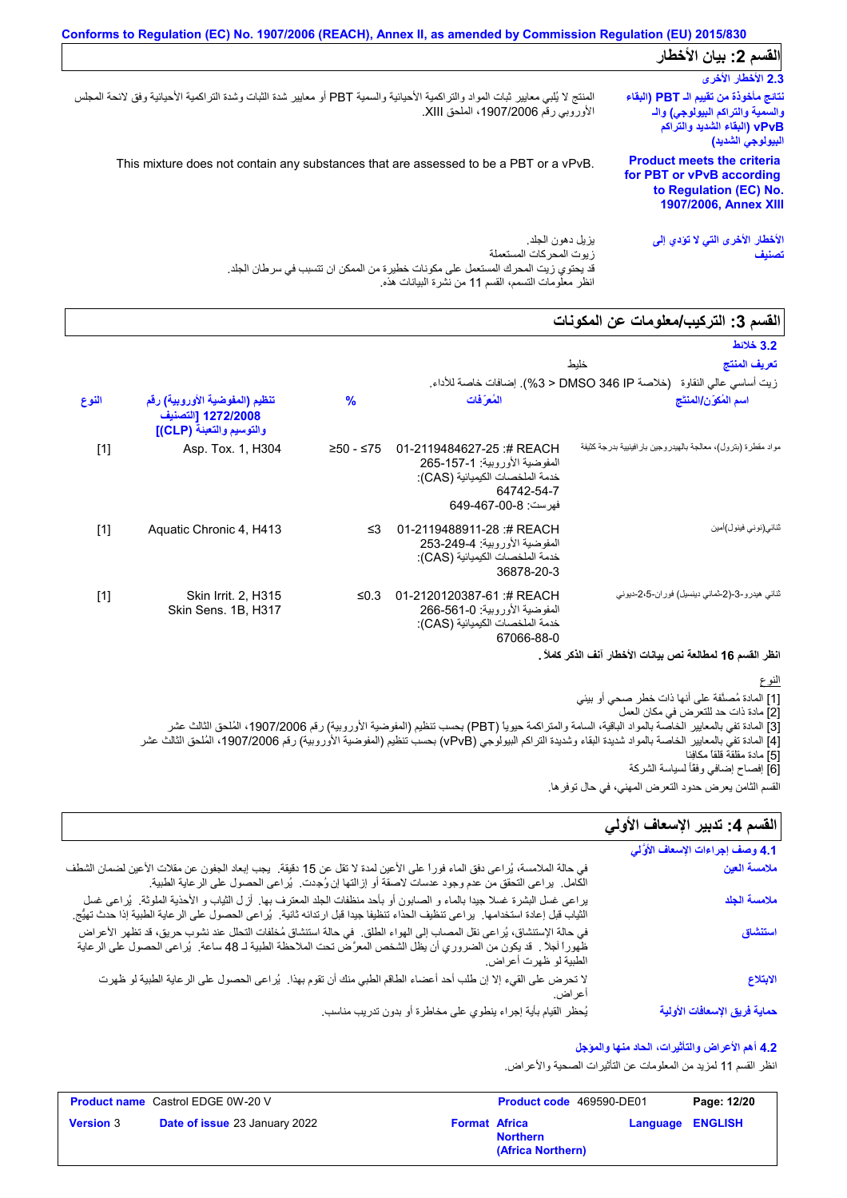|                                                                                                                                  | Conforms to Regulation (EC) No. 1907/2006 (REACH), Annex II, as amended by Commission Regulation (EU) 2015/830                                                             |
|----------------------------------------------------------------------------------------------------------------------------------|----------------------------------------------------------------------------------------------------------------------------------------------------------------------------|
| القسم 2: بيان الأخطار                                                                                                            |                                                                                                                                                                            |
| 2.3 الأخطار الأخرى                                                                                                               |                                                                                                                                                                            |
| نتائج مأخوذة من تقييم الـ PBT (البقاء<br>والسمية والتراكم البيولوجي) والـ<br>vPvB (البقاء الشديد والتراكم )<br>البيولوجي الشديد) | المنتج لا يُلبي معايير ثبات المواد والتراكمية الأحيائية والسمية PBT أو معايير شدة الثبات وشدة التراكمية الأحيائية وفق لائحة المجلس<br>الأوروبي رقم 1907/2006، الملحق XIII. |
| <b>Product meets the criteria</b><br>for PBT or vPvB according<br>to Regulation (EC) No.<br><b>1907/2006, Annex XIII</b>         | This mixture does not contain any substances that are assessed to be a PBT or a vPvB.                                                                                      |
| الأخطار الأخرى التي لا تؤدي إلى<br>تصنيف                                                                                         | يز بل دهو ن الجلد ِ<br>ز بوت المحر كات المستعملة<br>قد يحتوي زيت المحرك المستعمل على مكونات خطيرة من الممكن ان تتسبب في سرطان الجلد.                                       |

انظر معلومات التسمم، القسم 11 من نشرة البیانات ھذه.

# **القسم :3 التركیب/معلومات عن المكونات**

|       |                                                                                  |               |                                                                                                                                   | السنم د. اسری <i>پ است</i> وتات <i>حن</i> استوتات                      |
|-------|----------------------------------------------------------------------------------|---------------|-----------------------------------------------------------------------------------------------------------------------------------|------------------------------------------------------------------------|
|       |                                                                                  |               |                                                                                                                                   | 3.2 خلائط                                                              |
|       |                                                                                  |               |                                                                                                                                   | تعريف المنتج<br>خليط                                                   |
|       |                                                                                  |               |                                                                                                                                   | زيت أساسي عالى النقاوة   (خلاصة DMSO 346 IP < 3%). إضافات خاصة للأداء. |
| النوع | تنظيم (المفوضية الأوروبية) رقم<br>1272/2008 [التصنيف<br>والتوسيم والتعبئة (CLP)] | $\frac{9}{6}$ | المُع َفَات                                                                                                                       | اسم المُكوّن/المنتَج                                                   |
| $[1]$ | Asp. Tox. 1, H304                                                                | ≥50 - ≤75     | 01-2119484627-25:# REACH<br>المفوضية الأوروبية: 1-157-265<br>خدمة الملخصات الكيميائية (CAS):<br>64742-54-7<br>فهرست: 8-00-649-649 | مواد مقطرة (بترول)، معالجة بالهيدروجين بار افينيية بدرجة كثيفة         |
| $[1]$ | Aquatic Chronic 4, H413                                                          | $\leq$ 3      | 01-2119488911-28:# REACH<br>المفوضية الأور وبية: 249-253-253<br>خدمة الملخصات الكيميائية (CAS):<br>36878-20-3                     | ثنائي(نوني فينول)أمين                                                  |
| $[1]$ | <b>Skin Irrit. 2, H315</b><br>Skin Sens. 1B, H317                                | ≤ $0.3$       | 01-2120120387-61:# REACH<br>المفوضية الأور وبية: 1-561-266<br>خدمة الملخصات الكيميائية (CAS):<br>67066-88-0                       | ثنائی هیدرو-3-(2-ثمانی دینسیل) فور ان-5،2-دیونی                        |

#### **انظر القسم 16 لمطالعة نص بیانات الأخطار آنف الذكر كاملاً .**

النوع

[1] المادة مُصنَّفة على أنھا ذات خطر صحي أو بیئي

[2] مادة ذات حد للتعرض في مكان العمل

[3] المادة تفي بالمعاییر الخاصة بالمواد الباقیة، السامة والمتراكمة حیویاً (PBT (بحسب تنظیم (المفوضیة الأوروبیة) رقم ،1907/2006 المُلحق الثالث عشر

[4] المادة تفي بالمعاییر الخاصة بالمواد شدیدة البقاء وشدیدة التراكم البیولوجي (vPvB (بحسب تنظیم (المفوضیة الأوروبیة) رقم ،1907/2006 المُلحق الثالث عشر

[5] مادة مقلقة قلقاً مكافِئا [6] إفصاح إضافي وفقًأ لسیاسة الشركة

# القسم **4**: تدبير الإسعاف الأول*ي*

| القسم الثامن يعرض حدود التعرض المهني، في حال توفر ها.<br>القسم 4: تدبير الإسعاف الأولي |                                                                                                                                                                                                                                                                      |
|----------------------------------------------------------------------------------------|----------------------------------------------------------------------------------------------------------------------------------------------------------------------------------------------------------------------------------------------------------------------|
| 4.1 وصف إجراءات الإسعاف الأوَّلي                                                       |                                                                                                                                                                                                                                                                      |
| ملامسة العين                                                                           | في حالة الملامسة، يُراعي دفق الماء فوراً على الأعين لمدة لا تقل عن 15 دقيقة.  يجب إبعاد الجفون عن مقلات الأعين لضمان الشطف<br>الكامل.  براعي التحقق من عدم وجود عدسات لاصقة أو إزالتها إن وُجدت.  بُراعي الحصول على الرعاية الطبية.                                  |
| ملامسة الجلد                                                                           | يراعي غسل البشرة غسلا جيدًا بالماء و الصابون أو بأحد منظفات الجلد المعترف بها. أزل الثياب و الأحذية الملوثة. يُراعى غسل<br>الثياب قبل إعادة استخدامها.  يراعى تنظيف الحذاء تنظيفا جيدا قبل ارتدائه ثانية.  يُراعى الحصول على الرعاية الطبية إذا حدث تهيَّج.          |
| استنشاق                                                                                | في حالة الإستنشاق، يُراعى نقل المصاب إلى الهواء الطلق ِ في حالة استنشاق مُخلفات التحلل عند نشوب حريق، قد تظهر الأعراض<br>ظهوراً أجلاً . قد يكون من الضروري أن يظل الشخص المعرَّض تحت الملاحظة الطبية لـ 48 ساعة . يُراعى الحصول على الرعاية<br>الطبية لو ظهرت أعراض. |
| الابتلاع                                                                               | لا تحرض على القيء إلا إن طلب أحد أعضاء الطاقم الطبي منك أن تقوم بهذا   يُراعى الحصول على الرعاية الطبية لو ظهرت<br>اعر اض.                                                                                                                                           |
| حماية فريق الإسعافات الأولية                                                           | يُحظر القيام بأية إجراء ينطوي على مخاطرة أو بدون تدريب مناسب.                                                                                                                                                                                                        |

#### **4.2 أھم الأعراض والتأثیرات، الحاد منھا والمؤجل**

انظر القسم 11 لمزید من المعلومات عن التأثیرات الصحیة والأعراض.

|                  | <b>Product name</b> Castrol EDGE 0W-20 V |                      | <b>Product code</b> 469590-DE01      |                         | Page: 12/20 |
|------------------|------------------------------------------|----------------------|--------------------------------------|-------------------------|-------------|
| <b>Version 3</b> | <b>Date of issue 23 January 2022</b>     | <b>Format Africa</b> | <b>Northern</b><br>(Africa Northern) | <b>Language ENGLISH</b> |             |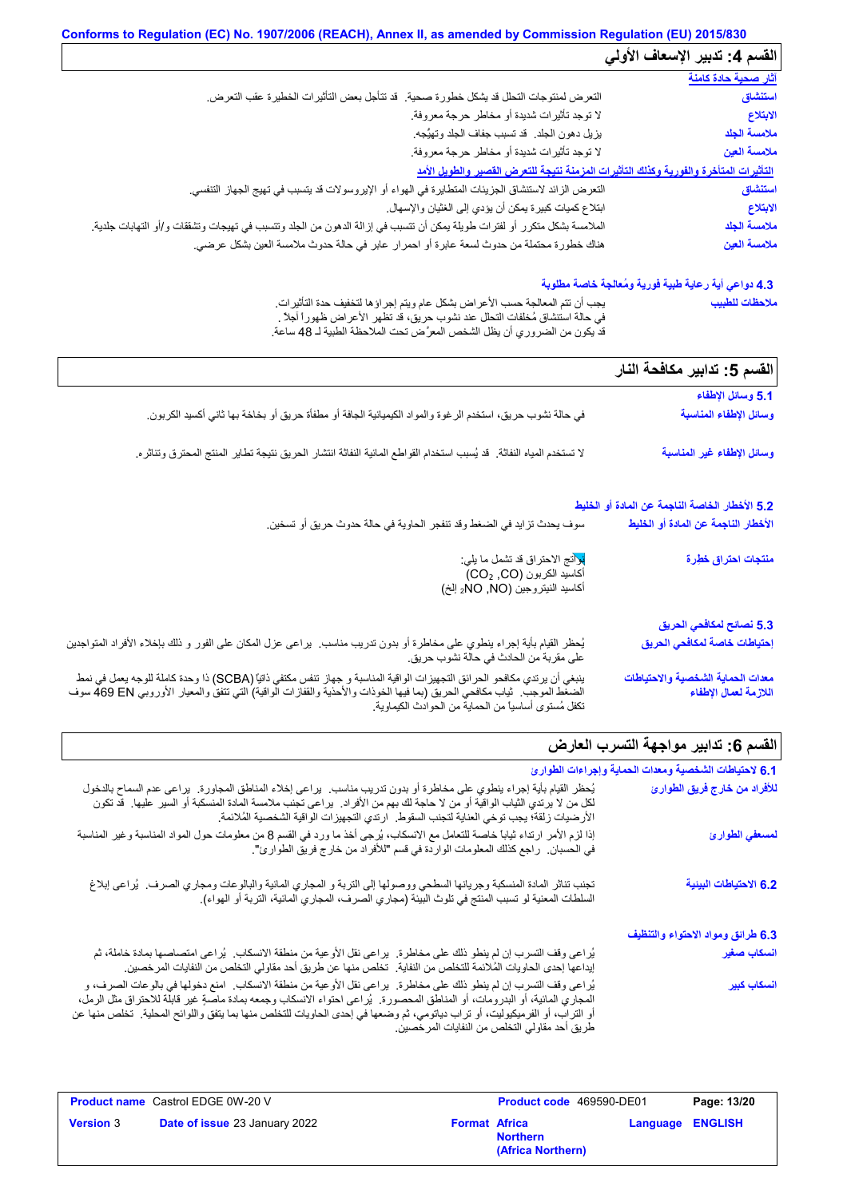| القسم 4: تدبير الإسعاف الأولي |                                                                                                                                      |
|-------------------------------|--------------------------------------------------------------------------------------------------------------------------------------|
| <u>آثار صحية حادة كامنة</u>   |                                                                                                                                      |
| استنشاق                       | التعرض لمنتوجات التحلل قد يشكل خطورة صحية. ۖ قد تتأجل بعض التأثيرات الخطيرة عقب التعرض.                                              |
| الابتلاع                      | لا توجد تأثيرات شديدة أو مخاطر حرجة معروفة                                                                                           |
| ملامسة الجلد                  | يزيل دهون الجلد. قد تسبب جفاف الجلد وتهيُّجه.                                                                                        |
| ملامسة العين                  | لا توجد تأثيرات شديدة أو مخاطر حرجة معروفة.                                                                                          |
|                               | التأثيرات المتأخرة والفورية وكذلك التأثيرات المزمنة نتيجة للتعرض القصير والطويل الأمد                                                |
| استنشاق                       | النعر ض الزائد لاستنشاق الجزيئات المتطايرة في الهواء أو الإيروسولات قد يتسبب في تهيج الجهاز التنفسي.                                 |
| الابتلاع                      | ابتلاع كميات كبيرة يمكن أن يؤدي إلى الغثيان والإسهال.                                                                                |
| ملامسة الجلد                  | الملامسة بشكل متكرر أو لفترات طويلة يمكن أن تتسبب في إزالة الدهون من الجلد وتتسبب في تهيجات وتشققات و/أو التهابات جلدية <sub>.</sub> |
| ملامسة العين                  | هناك خطورة محتملة من حدوث لسعة عابرة أو احمرار عابر في حالة حدوث ملامسة العين بشكل عرضي.                                             |

#### **4.3 دواعي أیة رعایة طبیة فوریة ومُعالجة خاصة مطلوبة**

| يجب أن نتم المعالجة حسب الأعر اض بشكل عام ويتم إجر اؤها لتخفيف حدة التأثير ات.   | ملاحظات للطبيب |
|----------------------------------------------------------------------------------|----------------|
| في حالة استنشاق مُخلَّفات التحلُّل عند نشوب حريق، قد تظهر الأعراض ظهوراً أجلاً . |                |
| قد يكون من الضروري أن يظل الشخص المعرَّض تحت الملاحظة الطبية لـ 48 ساعة.         |                |

| القسم 5: تدابير مكافحة النار                               |                                                                                                                                                                                                                                                                                          |
|------------------------------------------------------------|------------------------------------------------------------------------------------------------------------------------------------------------------------------------------------------------------------------------------------------------------------------------------------------|
| 5.1 وسائل الإطفاء                                          |                                                                                                                                                                                                                                                                                          |
| وسائل الإطفاء المناسبة                                     | في حالة نشوب حريق، استخدم الرغوة والمواد الكيميائية الجافة أو مطفأة حريق أو بخاخة بها ثاني أكسيد الكربون.                                                                                                                                                                                |
| وسائل الإطفاء غير المناسبة                                 | لا تستخدم المياه النفاثة.  قد يُسبب استخدام القواطع المائية النفاثة انتشار  الحريق نتيجة تطاير  المنتج المحترق وتناثره.                                                                                                                                                                  |
| 5.2 الأخطار الخاصة الناجمة عن المادة أو الخليط             |                                                                                                                                                                                                                                                                                          |
| الأخطار الناجمة عن المادة أو الخليط                        | سوف يحدث تزايد في الضغط وقد تتفجر الحاوية في حالة حدوث حريق أو تسخين.                                                                                                                                                                                                                    |
| منتجات احتراق خطِرة                                        | نوانج الاحتراق قد تشمل ما يلي:<br>أكاسيد الكربون (CO2 ,CO)<br>أكاسيد النيتروجين (NO, NO <sub>2</sub> إلخ)                                                                                                                                                                                |
| 5.3 نصائح لمكافحي الحريق                                   |                                                                                                                                                                                                                                                                                          |
| إحتياطات خاصة لمكافحي الحريق                               | يُحظر القيام بأية إجراء ينطوي على مخاطرة أو بدون تدريب مناسب.  يراعي عزل المكان على الفور و ذلك بإخلاء الأفراد المتواجدين<br>على مقربة من الحادث في حالة نشوب حريق.                                                                                                                      |
| معدات الحماية الشخصية والاحتياطات<br>اللازمة لعمال الإطفاء | ينبغي أن يرتدي مكافحو الحرائق التجهيزات الواقية المناسبة و جهاز تنفس مكتفي ذاتيًا (SCBA) ذا وحدة كاملة للوجه يعمل في نمط<br>الضغط الموجب.  ثياب مكافحي الحريق (بما فيها الخوذات والأحذية والقفازات الواقية) التي تتفق والمعيار ا<br>تكفل مُستوى أساسياً من الحماية من الحوادث الكيماوية. |

# **القسم :6 تدابیر مواجھة التسرب العارض**

| 6.1 لاحتياطات الشخصية ومعدات الحماية وإجراءات الطوارئ |                                                                                                                                                                                                                                                                                                                                                                                                                                   |
|-------------------------------------------------------|-----------------------------------------------------------------------------------------------------------------------------------------------------------------------------------------------------------------------------------------------------------------------------------------------------------------------------------------------------------------------------------------------------------------------------------|
| للأفراد من خارج فريق الطوارئ                          | يُحظر القيام بأية إجراء ينطوي على مخاطرة أو بدون تدريب مناسب. يراعي إخلاء المناطق المجاورة. يراعى عدم السماح بالدخول<br>لكل من لا يرتدي الثياب الواقية أو من لا حاجة لك بهم من الأفراد.  يراعي تجنب ملامسة المادة المنسكبة أو السير عليها.  قد تكون<br>الأرضيات زلقة؛ يجب توخي العناية لتجنب السقوط.   ارتدي التجهيز ات الواقية الشخصية المُلائمة.                                                                                |
| لمسعفي الطوارئ                                        | إذا لزم الأمر ارتداء ثياباً خاصة للتعامل مع الانسكاب، يُرجى أخذ ما ورد في القسم 8 من معلومات حول المواد المناسبة وغير المناسبة<br>في الحسبان.   راجع كذلك المعلومات الواردة في قسم "للأفراد من خار ج فريق الطوارئ".                                                                                                                                                                                                               |
| 6.2 الاحتياطات البيئية                                | تجنب تناثر المادة المنسكبة وجريانها السطحي ووصولها إلى التربة و المجاري المائية والبالوعات ومجاري الصرف.  يُراعى إبلاغ<br>السلطات المعنية لو تسبب المنتج في تلوث البيئة (مجاري الصرف، المجاري المائية، التربة أو الهواء).                                                                                                                                                                                                         |
| 6.3 طرائق ومواد الاحتواء والتنظيف                     |                                                                                                                                                                                                                                                                                                                                                                                                                                   |
| انسكاب صغير                                           | يُراعى وقف التسرب إن لم ينطو ذلك على مخاطرة.  يراعى نقل الأوعية من منطقة الانسكاب.  يُراعى امتصاصها بمادة خاملة، ثم<br>إيداعها إحدى الحاويات المُلائمة للتخلص من النفاية.  تخلص منها عن طريق أحد مقاولي التخلص من النفايات المر خصين.                                                                                                                                                                                             |
| ا <mark>نسكاب كبي</mark> ر                            | يُراعى وقف التسرب إن لم ينطو ذلك على مخاطرة.  يراعى نقل الأوعية من منطقة الانسكاب.  امنع دخولها في بالوعات الصرف، و<br>المجاري المانية، أو البدرومات، أو المذاطق المحصورة ¸ يُراعى احتواء الانسكاب وجمعه بمادة ماصةٍ غير قابلة للاحتراق مثل الرمل،<br>أو التراب، أو الفرميكيوليت، أو تراب دياتومي، ثم وضعها في إحدى الحاويات للتخلص منها بما يتفق واللوائح المحلية.  تخلص منها عن<br>طريق أحد مقاولي التخلص من النفايات المرخصين. |

 $\lfloor$ 

|                  | <b>Product name</b> Castrol EDGE 0W-20 V |                      | <b>Product code</b> 469590-DE01      |                         | Page: 13/20 |
|------------------|------------------------------------------|----------------------|--------------------------------------|-------------------------|-------------|
| <b>Version 3</b> | <b>Date of issue 23 January 2022</b>     | <b>Format Africa</b> | <b>Northern</b><br>(Africa Northern) | <b>Language ENGLISH</b> |             |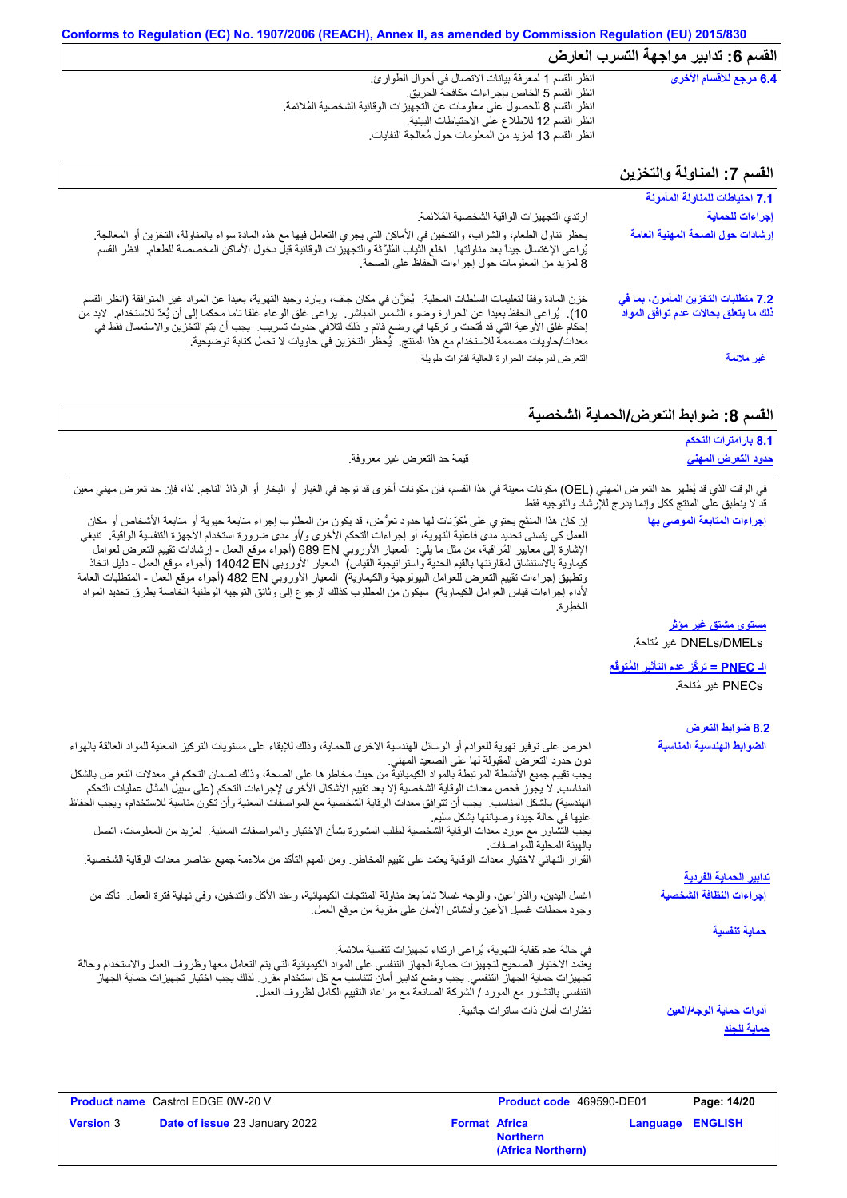| $10 - 20 - 30 - 10 - 10$                                                    | $\overline{\mathbf{v}}$ , $\overline{\mathbf{v}}$ , $\overline{\mathbf{v}}$ , $\overline{\mathbf{v}}$ , $\overline{\mathbf{v}}$ , $\overline{\mathbf{v}}$ , $\overline{\mathbf{v}}$ , $\overline{\mathbf{v}}$ , $\overline{\mathbf{v}}$ , $\overline{\mathbf{v}}$ , $\overline{\mathbf{v}}$ , $\overline{\mathbf{v}}$ , $\overline{\mathbf{v}}$ , $\overline{\mathbf{v}}$ , $\overline{\mathbf{v}}$ , $\overline{\mathbf{v}}$ |  |  |
|-----------------------------------------------------------------------------|-------------------------------------------------------------------------------------------------------------------------------------------------------------------------------------------------------------------------------------------------------------------------------------------------------------------------------------------------------------------------------------------------------------------------------|--|--|
| 6.4 مرجع للأقسام الأخرى                                                     | انظر القسم 1 لمعرفة بيانات الاتصال في أحوال الطوارئ.<br>انظر القسم 5 الخاص بإجر اءات مكافحة الحريق.<br>انظر القسم 8 للحصول على معلومات عن التجهيزات الوقائية الشخصية المُلائمة.<br>انظر القسم 12 للاطلاع على الاحتياطات البيئية.<br>انظر القسم 13 لمزيد من المعلومات حول مُعالجة النفايات                                                                                                                                     |  |  |
| القسم 7: المناولة والتخزين                                                  |                                                                                                                                                                                                                                                                                                                                                                                                                               |  |  |
| 7.1 احتياطات للمناولة المأمونة                                              |                                                                                                                                                                                                                                                                                                                                                                                                                               |  |  |
| إجراءات للحماية                                                             | ارتدي التجهيزات الواقية الشخصية المُلائمة.                                                                                                                                                                                                                                                                                                                                                                                    |  |  |
| إرشادات حول الصحة المهنية العامة                                            | يحظر تناول الطعام، والشراب، والتدخين في الأماكن التي يجري التعامل فيها مع هذه المادة سواء بالمناولة، التخزين أو المعالجة <sub>.</sub><br>يُراعى الإغتسال جيداً بعد مناولتها ِ اخلع الثياب المُلوَّثة والتجهيزات الوقائية قبل دخول الأماكن المخصصة للطعام ِ انظر القسم<br>8 لمزيد من المعلومات حول إجراءات الحفاظ على الصحة.                                                                                                   |  |  |
| 7.2 متطلبات التخزين المأمون، بما في<br>ذلك ما يتعلق بحالات عدم توافق المواد | خزن المادة وفقاً لتعليمات السلطات المحلية.  يُغزَّن في مكان جاف، وبارد وجيد التهوية، بعيداً عن المواد غير المنوافقة (انظر القسم<br>10). يُراعى الحفظ بعيدا عن الحرارة وضوء الشمس المباشر . يراعى غلق الوعاء غلقا تاما محكما إلى أن يُعدّ للاستخدام. لابد من                                                                                                                                                                   |  |  |

التعرض لدرجات الحرارة العالیة لفترات طویلة

إحكام غلق الأوعیة التي قد فُتِحت و تركھا في وضع قائم و ذلك لتلافي حدوث تسریب. یجب أن یتم التخزین والاستعمال فقط في

معدات/حاویات مصممة للاستخدام مع ھذا المنتج. یُحظر التخزین في حاویات لا تحمل كتابة توضیحیة.

|  | القسم 8: ضوابط النعرض/الحماية الشخصية |  |  |  |  |  |
|--|---------------------------------------|--|--|--|--|--|
|--|---------------------------------------|--|--|--|--|--|

**غیر ملائمة**

| 8.1 بارامترات التحكم                                       |                                                                                                                                                                                                                                                                                                                                                                                                                                                                                                                                                                                                                                                                                                                                                                                                                                                                                                       |
|------------------------------------------------------------|-------------------------------------------------------------------------------------------------------------------------------------------------------------------------------------------------------------------------------------------------------------------------------------------------------------------------------------------------------------------------------------------------------------------------------------------------------------------------------------------------------------------------------------------------------------------------------------------------------------------------------------------------------------------------------------------------------------------------------------------------------------------------------------------------------------------------------------------------------------------------------------------------------|
| <u>حدود التعرض المهنى</u>                                  | قيمة حد النعرض غير معروفة.                                                                                                                                                                                                                                                                                                                                                                                                                                                                                                                                                                                                                                                                                                                                                                                                                                                                            |
| قد لا ينطبق على المنتج ككل وإنما يدرج للإرشاد والتوجيه فقط | في الوقت الذي قد يُظهر حد التعرض المهني (OEL) مكونات معينة في هذا القسم، فإن مكونات أخرى قد توجد في الغبار أو الرذار الذاذ الناجم. لذا، فإن حد تعرض مهني معين                                                                                                                                                                                                                                                                                                                                                                                                                                                                                                                                                                                                                                                                                                                                         |
| إجراءات المتابعة الموصى بها                                | إن كان هذا المنتَج يحتوي على مُكرِّنات لها حدود تعرُّض، قد يكون من المطلوب إجراء متابعة حيوية أو متابعة الأشخاص أو مكان<br>العمل كي يتسنى تحديد مدى فاعلية التهوية، أو إجراءات التحكم الأخرى و/أو مدى ضرورة استخدام الأجهزة التنفسية الواقية.  تنبغي<br>الإشارة إلى معايير المُراقبة، من مثل ما يلي:  المعيار الأوروبي 689 EN (أجواء موقع العمل - إرشادات نقييم النعرض لعوامل<br>كيماوية بالاستنشاق لمقارنتها بالقيم الحدية واستراتيجية القياس)  المعيار الأوروبي 14042 DN (أجواء موقع العمل - دليل اتخاذ<br>وتطبيق إجراءات تقييم التعرض للعوامل البيولوجية والكيماوية)  المعيار الأوروبي 482 B2 (أجواء موقع العمل ـ المنطلبات العامة<br>لأداء إجراءات قياس العوامل الكيماوية)  سيكون من المطلوب كذلك الرجوع إلى وثانق التوجيه الوطنية الخاصة بطرق تحديد المواد<br>الخطر ة                                                                                                                            |
| <u>مستوی مشتق غیر موثر</u>                                 |                                                                                                                                                                                                                                                                                                                                                                                                                                                                                                                                                                                                                                                                                                                                                                                                                                                                                                       |
| DNELs/DMELs غير مُتاحة.                                    |                                                                                                                                                                                                                                                                                                                                                                                                                                                                                                                                                                                                                                                                                                                                                                                                                                                                                                       |
| ا <mark>لـ PNEC = تركَّز عدم التأثير المُتوفَّع</mark>     |                                                                                                                                                                                                                                                                                                                                                                                                                                                                                                                                                                                                                                                                                                                                                                                                                                                                                                       |
| PNECs غير مُتاحة.                                          |                                                                                                                                                                                                                                                                                                                                                                                                                                                                                                                                                                                                                                                                                                                                                                                                                                                                                                       |
| 8.2 ضوابط التعرض                                           |                                                                                                                                                                                                                                                                                                                                                                                                                                                                                                                                                                                                                                                                                                                                                                                                                                                                                                       |
| الضوابط الهندسية المناسبة                                  | احرص على توفير تهوية للعوادم أو الوسائل الهندسية الاخرى للحماية، وذلك للإبقاء على مستويات التركيز المعنية للمواد العالقة بالهواء<br>دون حدود النعرض المقبولة لها على الصعيد المهنى<br>يجب تقييم جميع الأنشطة المرتبطة بالمواد الكيميانية من حيث مخاطر ها على الصحة، وذلك لضمان التحكم في معدلات التعرض بالشكل<br>المناسب. لا يجوز فحص معدات الوقاية الشخصية إلا بعد تقييم الأشكال الأخرى لإجراءات التحكم (على سبيل المثال عمليات التحكم<br>الهندسية) بالشكل المناسب.  يجب أن تتوافق معدات الوقاية الشخصية مع المواصفات المعنية وأن تكون مناسبة للاستخدام، ويجب الحفاظ<br>عليها في حالة جيدة وصيانتها بشكل سليم<br>يجب التِّشاور مع مورد معدات الوقاية الشَّخصية لطلب المشورة بشأن الاختيار والمواصفات المعنية. كمزيد من المعلومات، اتصل<br>بالهيئة المحلية للمواصفات.<br>القرار النهائي لاختيار معدات الوقاية يعتمد على تقييم المخاطر ـ ومن المهم التأكد من ملاءمة جميع عناصر معدات الوقاية الشخصية ـ |
| <u>تدابير الحماية الفردية</u>                              |                                                                                                                                                                                                                                                                                                                                                                                                                                                                                                                                                                                                                                                                                                                                                                                                                                                                                                       |
| إجراءات النظافة الشخصية                                    | اغسل اليدين، والذراعين، والوجه غسلا تاماً بعد مناولة المنتجات الكيميائية، وعند الأكل والتدخين، وفي نهاية فترة العمل ـ تأكد من<br>وجود محطات غسيل الأعين وأدشاش الأمان علىى مقربة من موقع العمل                                                                                                                                                                                                                                                                                                                                                                                                                                                                                                                                                                                                                                                                                                        |
| حماية تنفسية                                               |                                                                                                                                                                                                                                                                                                                                                                                                                                                                                                                                                                                                                                                                                                                                                                                                                                                                                                       |
|                                                            | في حالة عدم كفاية التهوية، يُراعى ارتداء تجهيزات تنفسية ملائمة.<br>يعتمد الاختيار الصحيح لتجهيزات حماية الجهاز التنفسي على المواد الكيميائية التي يتم التعامل معها وظروف العمل والاستخدام وحالة<br>تجهيز ات حماية الجهاز التنفسي. يجب وضع تدابير أمان تتناسب مع كل استخدام مقرر . لذلك يجب اختيار تجهيزات حماية الجهاز<br>التنفسي بالتشاور مع المورد / الشركة الصانعة مع مراعاة التقييم الكامل لظروف العمل.                                                                                                                                                                                                                                                                                                                                                                                                                                                                                           |
| أدوات حماية الوجه/العين                                    | نظار ات أمان ذات ساتر ات جانبية.                                                                                                                                                                                                                                                                                                                                                                                                                                                                                                                                                                                                                                                                                                                                                                                                                                                                      |
|                                                            |                                                                                                                                                                                                                                                                                                                                                                                                                                                                                                                                                                                                                                                                                                                                                                                                                                                                                                       |

|                  | <b>Product name</b> Castrol EDGE 0W-20 V |                      |                                      | <b>Product code</b> 469590-DE01 | Page: 14/20 |
|------------------|------------------------------------------|----------------------|--------------------------------------|---------------------------------|-------------|
| <b>Version 3</b> | <b>Date of issue 23 January 2022</b>     | <b>Format Africa</b> | <b>Northern</b><br>(Africa Northern) | <b>Language ENGLISH</b>         |             |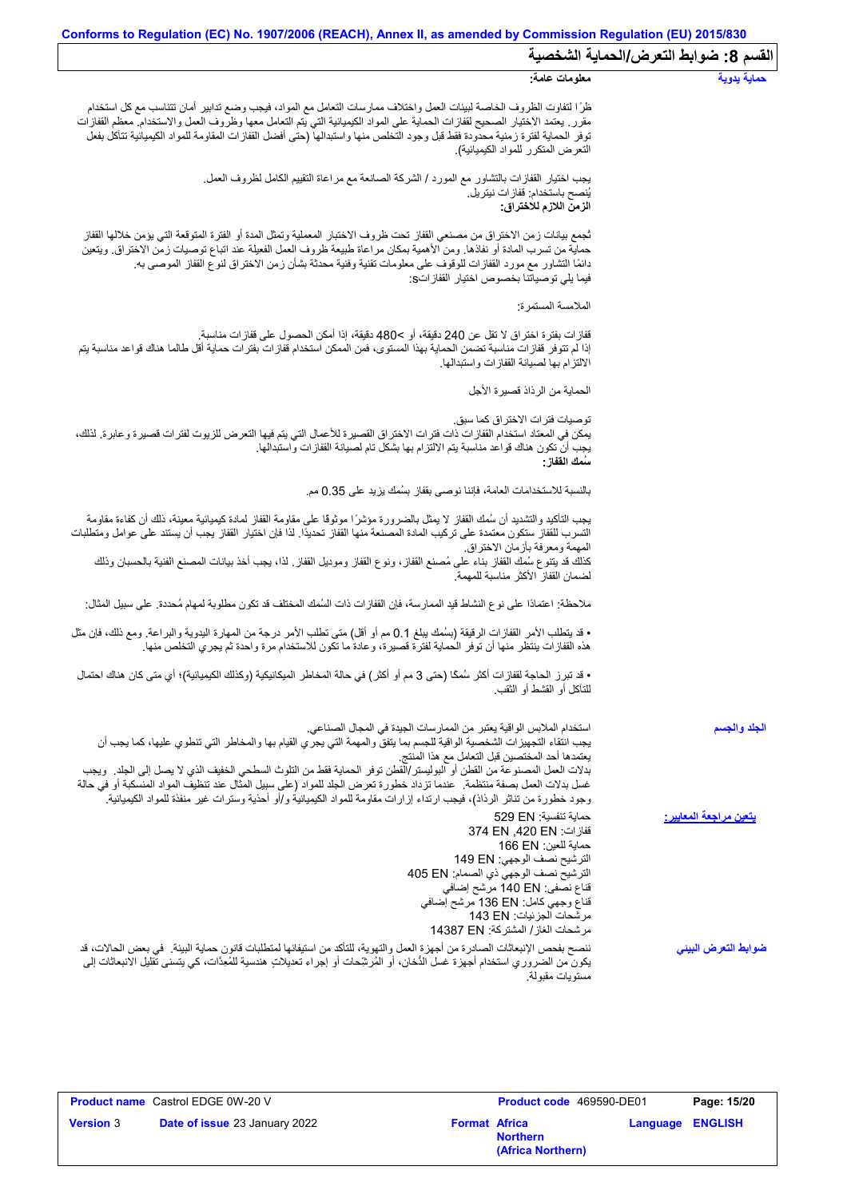| Conforms to Regulation (EC) No. 1907/2006 (REACH), Annex II, as amended by Commission Regulation (EU) 2015/830                                                                                                                                                                                                                                                                                                                                                                                                                                                                                                                     |                                       |
|------------------------------------------------------------------------------------------------------------------------------------------------------------------------------------------------------------------------------------------------------------------------------------------------------------------------------------------------------------------------------------------------------------------------------------------------------------------------------------------------------------------------------------------------------------------------------------------------------------------------------------|---------------------------------------|
|                                                                                                                                                                                                                                                                                                                                                                                                                                                                                                                                                                                                                                    | القسم 8: ضوابط التعرض/الحماية الشخصية |
| معلومات عامة:                                                                                                                                                                                                                                                                                                                                                                                                                                                                                                                                                                                                                      | حماية يدوية                           |
| ظرًا لتفاوت الظروف الخاصة لبيئات العمل واختلاف ممارسات التعامل مع المواد، فيجب وضع تدابير أمان تتناسب مع كل استخدام<br>مقرر ٍ يعتمد الاختيار الصحيح لقفازات الحماية على المواد الكيميائية التي يتم التعامل معها وظروف العمل والاستخدام ِ معظم القفازات<br>توفر الحماية لفترة زمنية محدودة فقط قبل وجود التخلص منها واستبدالها (حتى أفضل القفازات المقاومة للمواد الكيميائية تتآكل بفعل<br>التعرض المتكرر للمواد الكيميائية).                                                                                                                                                                                                       |                                       |
| يجب اختيار القفازات بالنشاور مع المورد / الشركة الصـانعة مع مراعاة النقييم الكامل لظروف العمل.<br>يُنصح باستخدام: قفاز ات نيتريل.<br>الزمن اللازم للاختراق:                                                                                                                                                                                                                                                                                                                                                                                                                                                                        |                                       |
| ثجمع بيانات زمن الاختراق من مصنعي القفاز تحت ظروف الاختبار المعملية وتمثل المدة أو الفترة المتوقعة التي يؤمن خلالها القفاز<br>حماية من تسرب المادة أو نفاذها. ومن الأهمية بمكان مراعاة طبيعة ظروف العمل الفعيلة عند اتباع توصيات زمن الاختراق. ويتعين<br>دائمًا التشاور مع مورد القفازات للوقوف على معلومات تقنية وفنية محدثة بشأن زمن الاختراق لنوع القفاز الموصىي به.<br>فيما يلِّي توصياتنا بخصوص اختيار  القفاز اتS:                                                                                                                                                                                                           |                                       |
| الملامسة المستمرة:                                                                                                                                                                                                                                                                                                                                                                                                                                                                                                                                                                                                                 |                                       |
| قفازات بفترة اختراق لا تقل عن 240 دقيقة، أو >480 دقيقة، إذا أمكن الحصول على قفازات مناسبة.<br>إذا لم تتوفر قفازات مناسبة تضمن الحماية بهذا المستوى، فمن الممكن استخدام قفازات بفترات حماية أقل طالما هناك قواعد مناسبة يتم<br>الالتز ام بها لصيانة القفاز ات واستبدالها.                                                                                                                                                                                                                                                                                                                                                           |                                       |
| الحماية من الرذاذ قصيرة الأجل                                                                                                                                                                                                                                                                                                                                                                                                                                                                                                                                                                                                      |                                       |
| توصيات فتر ات الاختر اق كما سبق.<br>يمكن في المعتاد استخدام القفازات ذات فترات الاختراق القصيرة للأعمال التي يتم فيها التعرض للزيوت لفترات قصيرة وعابرة. لذلك،<br>يجب أن تكون هناك قواعد مناسبة يتم الالتزام بها بشكل تام لصيانة القفازات واستبدالها.<br>سُمك الففاز :                                                                                                                                                                                                                                                                                                                                                             |                                       |
| بالنسبة للاستخدامات العامة، فإننا نوصي بقفاز بسُمك يزيد على 0.35 مم.                                                                                                                                                                                                                                                                                                                                                                                                                                                                                                                                                               |                                       |
| يجب التأكيد والتشديد أن سُمك القفاز لا يمثل بالضرورة مؤشرًا موثوقًا على مقاومة القفاز لمادة كيميائية معينة، ذلك أن كفاءة مقاومة<br>التسرب للقفاز ستكون معتمدة على تركيب المادة المصنعة منها القفاز تحديدًا. لذا فإن اختيار القفاز يجب أن يستند على عوامل ومتطلبات<br>المهمة ومعرفة بأزمان الاختراق                                                                                                                                                                                                                                                                                                                                 |                                       |
| كذلك قد يتنوع سُمك القفاز بناء على مُصنع القفاز، ونوع القفاز وموديل القفاز ٍ لذا، يجب أخذ بيانات المصنع الفنية بالحسبان وذلك<br>لضمان القفاز الأكثر مناسبة للمهمة                                                                                                                                                                                                                                                                                                                                                                                                                                                                  |                                       |
| ملاحظة: اعتمادًا على نوع النشاط قيد الممارسة، فإن القفازات ذات السُمك المختلف قد تكون مطلوبة لمهام مُحددة. على سبيل المثال:                                                                                                                                                                                                                                                                                                                                                                                                                                                                                                        |                                       |
| • قد يتطلب الأمر القفازات الرقيقة (بسُمك يبلغ 0.1 مم أو أقل) متى تطلب الأمر درجة من المهارة اليدوية والبراعة. ومع ذلك، فإن مثل<br>هذه القفازات ينتظر منها أن توفر الحماية لفترة قصيرة، وعادة ما تكون للاستخدام مرة واحدة ثم يجري التخلص منها.                                                                                                                                                                                                                                                                                                                                                                                      |                                       |
| • قد تبرز الحاجة لقفازات أكثر سُمكًا (حتى 3 مم أو أكثر ) في حالة المخاطر الميكانيكية (وكذلك الكيميائية)؛ أي متى كان هناك احتمال<br>للتآكل أو القشط أو الثقب.                                                                                                                                                                                                                                                                                                                                                                                                                                                                       |                                       |
| استخدام الملابس الواقية يعتبر من الممارسات الجيدة في المجال الصناعي.<br>يجب انتُقاء التجهيزات الشخصية الواقية للجسم بما يتفق والمهمة التي يجري القيام بها والمخاطر التي تنطوي عليها، كما يجب أن<br>يعتمدها أحد المختصين قبل التعامل مع هذا المنتج<br>بدلات العمل المصنوعة من القطن أو البوليستر/القطن توفر الحماية فقط من التلوث السطحي الخفيف الذي لا يصل إلى الجلد ٍ ويجب<br>غسل بدلات العمل بصفة منتظمة ¸ عندما تزداد خطورة تعرض الجلد للمواد (على سبيل المثّال عند تنظيف المواد المنسكبة أو في حالة<br>وجود خطورة من تناثر الرذاذ)، فيجب ارتداء إزارات مقاومة للمواد الكيميائية و/أو أحذية وسترات غير منفذة للمواد الكيميائية. | الجلد والجسم                          |
| حماية تنفسية: 529 EN<br>قفاز ات: 374 EN ,420 EN<br>حماية للعين: 166 EN<br>الترشيح نصف الوجهي: 149 EN<br>الترشيح نصف الوجهي ذي الصمام: 405 EN<br>قناع نصفي: 140 EN مرشح إضافي<br>قناع وجهي كامل: 136 EN مرشح إضافي<br>مرشحات الجزئيات: 143 EN<br>مرشحات الغاز / المشتركة: 14387 EN                                                                                                                                                                                                                                                                                                                                                  | يتعين مراجعة المعايي <u>ر :</u>       |
| ننصح بفحص الإنبعاثات الصادرة من أجهزة العمل والتهوية، للتأكد من استيفائها لمتطلبات قانون حماية البيئة _ في بعض الحالات، قد<br>يكون من الضروري استخدام أجهزة غسل الدُّخان، أو المُرشِّحات أو إجراء تعديلاتٍ هندسية للمُعِدَّات، كي يتسنى تقليل الانبعاثات إلى<br>مستويات مقبولة.                                                                                                                                                                                                                                                                                                                                                    | ضوابط التعرض البينى                   |

|                  | <b>Product name</b> Castrol EDGE 0W-20 V |                      | Product code 469590-DE01             |                         | Page: 15/20 |
|------------------|------------------------------------------|----------------------|--------------------------------------|-------------------------|-------------|
| <b>Version 3</b> | <b>Date of issue 23 January 2022</b>     | <b>Format Africa</b> | <b>Northern</b><br>(Africa Northern) | <b>Language ENGLISH</b> |             |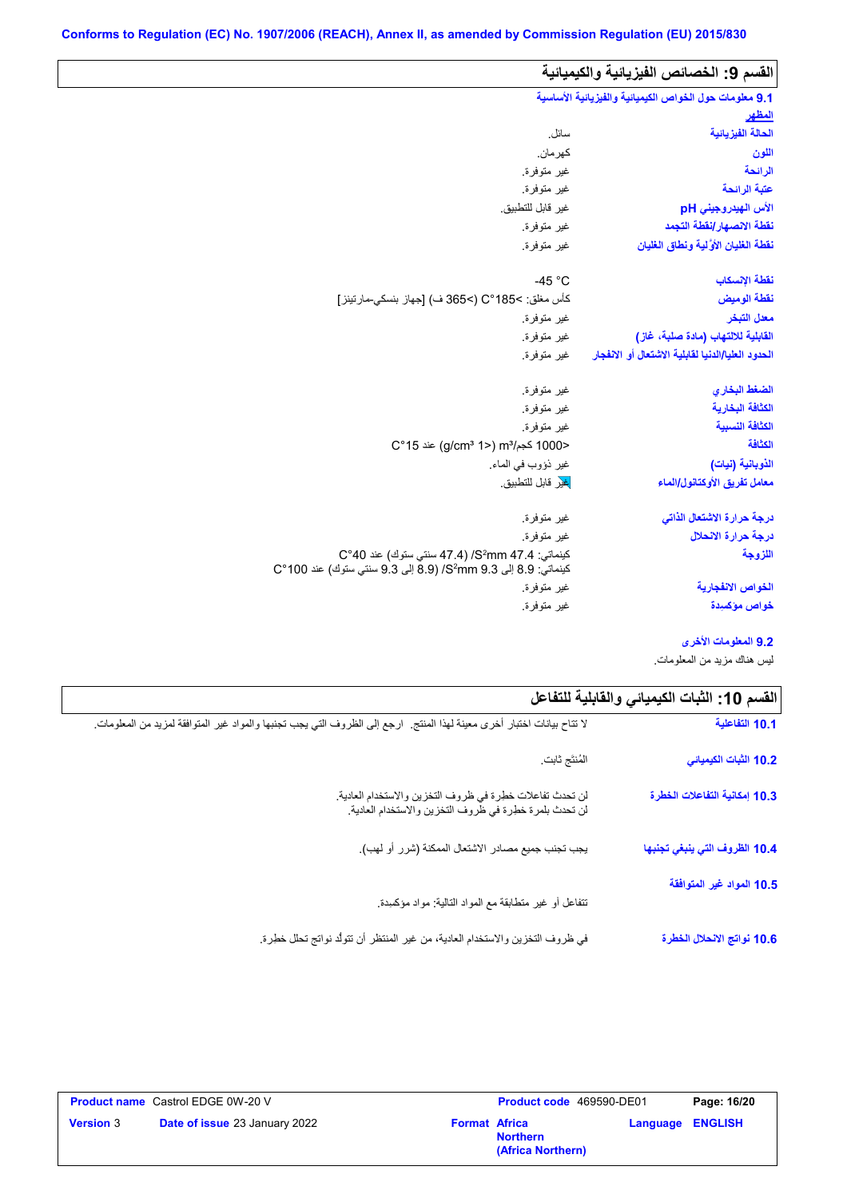| 9.1 معلومات حول الخواص الكيميائية والفيزيائية الأساسية<br>المظهر<br>الحالة الفيزيائية<br>سائل.<br>كهر مان.<br>اللون<br>الرائحة<br>غير متوفرة.<br>عتبة الرائحة<br>غير متوفرة.<br>غير قابل للتطبيق.<br>الأس الهيدروجيني pH<br>نقطة الانصهار إنقطة التجمد<br>غير متوفرة.<br>نفطة الغلبان الأولية ونطاق الغلبان<br>غير متوفرة.<br>نفطة الإنسكاب<br>-45 $^{\circ}$ C<br>كأس مغلق: C°185<) (>365 ف) [جهاز بنسكي-مارتينز]<br>نقطة الوميض<br>معدل التبخر<br>غير متوفرة.<br>القابلية للالتهاب (مادة صلبة، غاز)<br>غير متوفرة.<br>الحدود العليا/الدنيا لقابلية الاشتعال أو الانفجار<br>غير متوفرة.<br>الضغط البخاري<br>غير متوفرة.<br>الكثافة البخارية<br>غير متوفرة.<br>الكثافة النسبية<br>غير متوفرة.<br>الكثافة<br><1000 كجم/m3 (2°15) aic (g/cm3 1<br>غير ذؤوب في الماء.<br>الذوبانية (نيات)<br><mark>غي</mark> ر قابل للتطبيق<br>معامل تفريق الأوكتانول/الماء<br>درجة حرارة الاشتعال الذاتى<br>غير متوفرة.<br>درجة حرارة الانحلال<br>غير متوفرة.<br>كينماتي: S2mm 47.4/ (47.4 سنتي ستوك) عند C°40<br>اللزوجة<br>كينماتي: 8.9 إلى 9.3 S2mm (8.9 إلى 9.3 سنتي ستوك) عند 100°C<br>الخواص الانفجا <i>ر</i> ية<br>غير متوفرة. | القسم 9: الخصائص الفيزيائية والكيميائية |             |
|---------------------------------------------------------------------------------------------------------------------------------------------------------------------------------------------------------------------------------------------------------------------------------------------------------------------------------------------------------------------------------------------------------------------------------------------------------------------------------------------------------------------------------------------------------------------------------------------------------------------------------------------------------------------------------------------------------------------------------------------------------------------------------------------------------------------------------------------------------------------------------------------------------------------------------------------------------------------------------------------------------------------------------------------------------------------------------------------------------------------|-----------------------------------------|-------------|
|                                                                                                                                                                                                                                                                                                                                                                                                                                                                                                                                                                                                                                                                                                                                                                                                                                                                                                                                                                                                                                                                                                                     |                                         |             |
|                                                                                                                                                                                                                                                                                                                                                                                                                                                                                                                                                                                                                                                                                                                                                                                                                                                                                                                                                                                                                                                                                                                     |                                         |             |
|                                                                                                                                                                                                                                                                                                                                                                                                                                                                                                                                                                                                                                                                                                                                                                                                                                                                                                                                                                                                                                                                                                                     |                                         |             |
|                                                                                                                                                                                                                                                                                                                                                                                                                                                                                                                                                                                                                                                                                                                                                                                                                                                                                                                                                                                                                                                                                                                     |                                         |             |
|                                                                                                                                                                                                                                                                                                                                                                                                                                                                                                                                                                                                                                                                                                                                                                                                                                                                                                                                                                                                                                                                                                                     |                                         |             |
|                                                                                                                                                                                                                                                                                                                                                                                                                                                                                                                                                                                                                                                                                                                                                                                                                                                                                                                                                                                                                                                                                                                     |                                         |             |
|                                                                                                                                                                                                                                                                                                                                                                                                                                                                                                                                                                                                                                                                                                                                                                                                                                                                                                                                                                                                                                                                                                                     |                                         |             |
|                                                                                                                                                                                                                                                                                                                                                                                                                                                                                                                                                                                                                                                                                                                                                                                                                                                                                                                                                                                                                                                                                                                     |                                         |             |
|                                                                                                                                                                                                                                                                                                                                                                                                                                                                                                                                                                                                                                                                                                                                                                                                                                                                                                                                                                                                                                                                                                                     |                                         |             |
|                                                                                                                                                                                                                                                                                                                                                                                                                                                                                                                                                                                                                                                                                                                                                                                                                                                                                                                                                                                                                                                                                                                     |                                         |             |
|                                                                                                                                                                                                                                                                                                                                                                                                                                                                                                                                                                                                                                                                                                                                                                                                                                                                                                                                                                                                                                                                                                                     |                                         |             |
|                                                                                                                                                                                                                                                                                                                                                                                                                                                                                                                                                                                                                                                                                                                                                                                                                                                                                                                                                                                                                                                                                                                     |                                         |             |
|                                                                                                                                                                                                                                                                                                                                                                                                                                                                                                                                                                                                                                                                                                                                                                                                                                                                                                                                                                                                                                                                                                                     |                                         |             |
|                                                                                                                                                                                                                                                                                                                                                                                                                                                                                                                                                                                                                                                                                                                                                                                                                                                                                                                                                                                                                                                                                                                     |                                         |             |
|                                                                                                                                                                                                                                                                                                                                                                                                                                                                                                                                                                                                                                                                                                                                                                                                                                                                                                                                                                                                                                                                                                                     |                                         |             |
|                                                                                                                                                                                                                                                                                                                                                                                                                                                                                                                                                                                                                                                                                                                                                                                                                                                                                                                                                                                                                                                                                                                     |                                         |             |
|                                                                                                                                                                                                                                                                                                                                                                                                                                                                                                                                                                                                                                                                                                                                                                                                                                                                                                                                                                                                                                                                                                                     |                                         |             |
|                                                                                                                                                                                                                                                                                                                                                                                                                                                                                                                                                                                                                                                                                                                                                                                                                                                                                                                                                                                                                                                                                                                     |                                         |             |
|                                                                                                                                                                                                                                                                                                                                                                                                                                                                                                                                                                                                                                                                                                                                                                                                                                                                                                                                                                                                                                                                                                                     |                                         |             |
|                                                                                                                                                                                                                                                                                                                                                                                                                                                                                                                                                                                                                                                                                                                                                                                                                                                                                                                                                                                                                                                                                                                     |                                         |             |
|                                                                                                                                                                                                                                                                                                                                                                                                                                                                                                                                                                                                                                                                                                                                                                                                                                                                                                                                                                                                                                                                                                                     |                                         |             |
|                                                                                                                                                                                                                                                                                                                                                                                                                                                                                                                                                                                                                                                                                                                                                                                                                                                                                                                                                                                                                                                                                                                     |                                         |             |
|                                                                                                                                                                                                                                                                                                                                                                                                                                                                                                                                                                                                                                                                                                                                                                                                                                                                                                                                                                                                                                                                                                                     |                                         |             |
|                                                                                                                                                                                                                                                                                                                                                                                                                                                                                                                                                                                                                                                                                                                                                                                                                                                                                                                                                                                                                                                                                                                     |                                         |             |
|                                                                                                                                                                                                                                                                                                                                                                                                                                                                                                                                                                                                                                                                                                                                                                                                                                                                                                                                                                                                                                                                                                                     | خواص مؤكسيدة                            | غير متوفرة. |

**9.2 المعلومات الأخرى**

لیس ھناك مزید من المعلومات.

| القسم 10: الثبات الكيميائي والفابلية للتفاعل |                                                                                                                       |
|----------------------------------------------|-----------------------------------------------------------------------------------------------------------------------|
| 10.1 التفاعلية                               | لا تتاح بيانات اختبار أخرى معينة لهذا المنتج لرجع إلى الظروف التي يجب تجنبها والمواد غير المتوافقة لمزيد من المعلومات |
| 10.2 الثبات الكيميائي                        | المُنتَج ثابت                                                                                                         |
| 10.3 إمكانية التفاعلات الخطرة                | لن تحدث تفاعلات خطرة في ظروف التخزين والاستخدام العادية.<br>لن تحدث بلمرة خطرة في ظروف التخزين والاستخدام العادية.    |
| 10.4 الظروف التي ينبغي تجنبها                | يجب تجنب جميع مصادر الاشتعال الممكنة (شرر أو لهب).                                                                    |
| 10.5 المواد غير المتوافقة                    | نتفاعل أو غير متطابقة مع المواد النالية: مواد مؤكسدة.                                                                 |
| 10.6 نواتج الانحلال الخطرة                   | في ظروف التخزين والاستخدام العادية، من غير المنتظر أن تتولَّد نواتج تحلل خطِرة.                                       |

 $\mathsf{r}$ 

|                  | <b>Product name</b> Castrol EDGE 0W-20 V |                      | <b>Product code</b> 469590-DE01      |                         | Page: 16/20 |
|------------------|------------------------------------------|----------------------|--------------------------------------|-------------------------|-------------|
| <b>Version 3</b> | <b>Date of issue 23 January 2022</b>     | <b>Format Africa</b> | <b>Northern</b><br>(Africa Northern) | <b>Language ENGLISH</b> |             |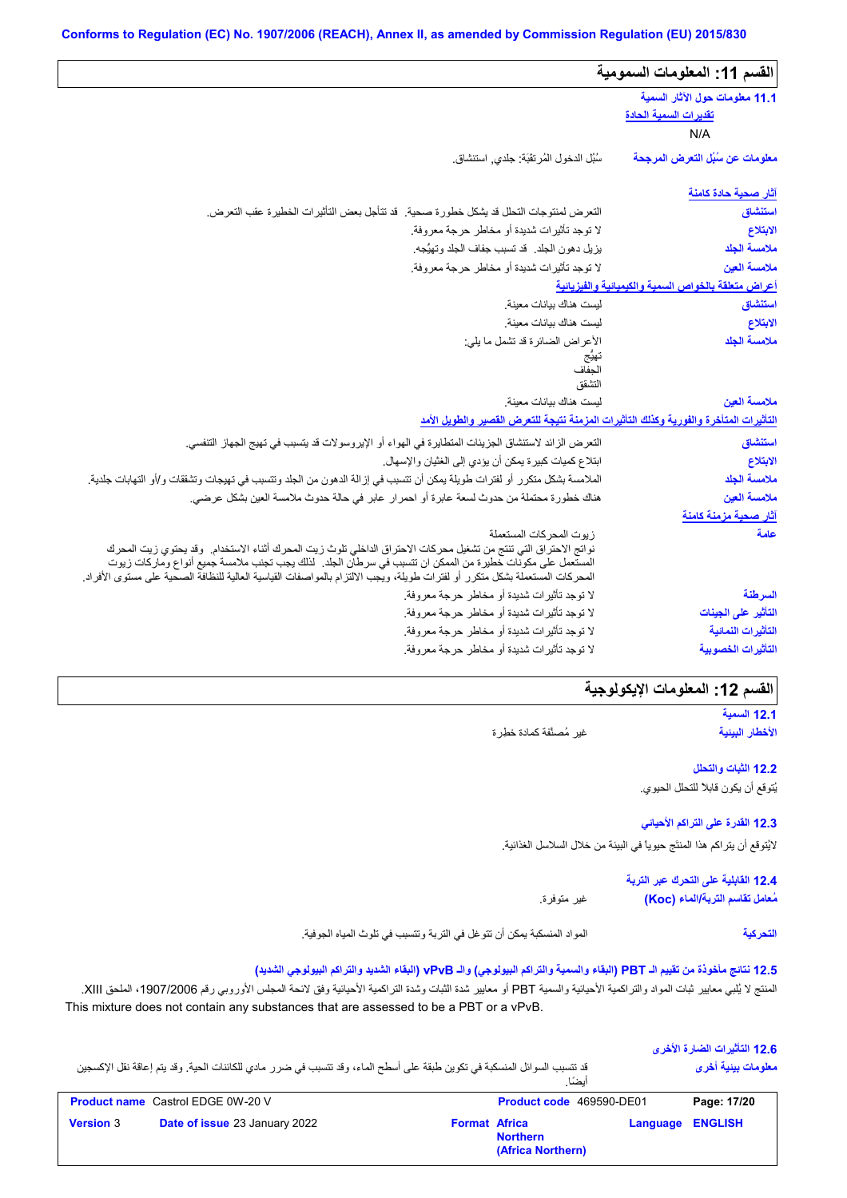| القسم 11: المعلومات السمومية                                          |                                                                                                                                                                                                                                                                                                                                                                                           |
|-----------------------------------------------------------------------|-------------------------------------------------------------------------------------------------------------------------------------------------------------------------------------------------------------------------------------------------------------------------------------------------------------------------------------------------------------------------------------------|
| 11.1 معلومات حول الآثار السمية<br><u>تقديرات السمية الحادة</u><br>N/A |                                                                                                                                                                                                                                                                                                                                                                                           |
| معلومات عن سُبُل التعرض المرجحة                                       | سُبُل الدخول المُرتقَبَة: جلدي, استنشاق.                                                                                                                                                                                                                                                                                                                                                  |
| <u>آثار صحبة حادة كامنة</u>                                           |                                                                                                                                                                                                                                                                                                                                                                                           |
| استنشاق                                                               | التعرض لمنتوجات التحلل قد يشكل خطورة صحية. قد تتأجل بعض التأثيرات الخطيرة عقب التعرض.                                                                                                                                                                                                                                                                                                     |
| الابتلاع                                                              | لا توجد تأثيرات شديدة أو مخاطر حرجة معروفة.                                                                                                                                                                                                                                                                                                                                               |
| ملامسة الجلد                                                          | يزيل دهون الجلد. قد تسبب جفاف الجلد وتهيُّجه.                                                                                                                                                                                                                                                                                                                                             |
| ملامسة العين                                                          | لا توجد تأثيرات شديدة أو مخاطر حرجة معروفة.                                                                                                                                                                                                                                                                                                                                               |
| أعراض متعلقة بالخواص السمية والكيميانية والفيزيانية                   |                                                                                                                                                                                                                                                                                                                                                                                           |
| استنشاق                                                               | ليست هناك بيانات معينة                                                                                                                                                                                                                                                                                                                                                                    |
| الابتلاع                                                              | ليست هناك بيانات معينة                                                                                                                                                                                                                                                                                                                                                                    |
| ملامسة الجلد                                                          | الأعراض الضائرة قد تشمل ما يلي:                                                                                                                                                                                                                                                                                                                                                           |
|                                                                       |                                                                                                                                                                                                                                                                                                                                                                                           |
|                                                                       | الجفاف<br>التشقق                                                                                                                                                                                                                                                                                                                                                                          |
| ملامسة العين                                                          | ليست هناك بيانات معينة                                                                                                                                                                                                                                                                                                                                                                    |
|                                                                       | التأثيرات المتأخرة والفورية وكذلك التأثيرات المزمنة نتبجة للتعرض القصير والطويل الأمد                                                                                                                                                                                                                                                                                                     |
| استنشاق                                                               | التعرض الزائد لاستنشاق الجزيئات المتطايرة في الهواء أو الإيروسولات قد يتسبب في تهيج الجهاز التنفسي.                                                                                                                                                                                                                                                                                       |
| الابتلاع                                                              | ابتلاع كميات كبيرة يمكن أن يؤدي إلى الغثيان والإسهال.                                                                                                                                                                                                                                                                                                                                     |
| ملامسة الجلد                                                          | الملامسة بشكل متكرر أو لفترات طويلة يمكن أن تتسبب في إزالة الدهون من الجلد وتتسبب في تهيجات وتشققات و/أو التهابات جلدية.                                                                                                                                                                                                                                                                  |
| ملامسة العين                                                          | هناك خطورة محتملة من حدوث لسعة عابرة أو احمرار عابر في حالة حدوث ملامسة العين بشكل عرضي.                                                                                                                                                                                                                                                                                                  |
| آثار صحبة مزمنة كامنة                                                 |                                                                                                                                                                                                                                                                                                                                                                                           |
| عامة                                                                  | زيوت المحركات المستعملة<br>نواتج الاحتراق التي تنتج من تشغيل محركات الاحتراق الداخلي تلوث زيت المحرك أثناء الاستخدام.  وقد يحتوي زيت المحرك<br>المستعمل على مكونّات خطيرة من الممكن ان تتسبب في سرطاّن الجلد . لذلك يجب تجنب ملامسة جميع أنواع وماركات زيوت<br>المحركات المستعملة بشكل متكرر أو لفترات طويلة، ويجب الالتزام بالمواصفات القياسية العالية للنظافة الصحية على مستوى الأفراد. |
| السرطنة                                                               | لا توجد تأثيرات شديدة أو مخاطر حرجة معروفة.                                                                                                                                                                                                                                                                                                                                               |
| التأثير على الجينات                                                   | لا توجد تأثيرات شديدة أو مخاطر حرجة معروفة.                                                                                                                                                                                                                                                                                                                                               |
| التأثيرات النمائية                                                    | لا توجد تأثيرات شديدة أو مخاطر حرجة معروفة.                                                                                                                                                                                                                                                                                                                                               |
| التأثيرات الخصوبية                                                    | لا توجد تأثيرات شديدة أو مخاطر حرجة معروفة.                                                                                                                                                                                                                                                                                                                                               |

# القسم 12: المعلومات الإيكولوجية

**12.1 السمیة الأخطار البیئیة**

غیر مُصنَّفة كمادة خطِرة

**12.2 الثبات والتحلل** یُتوقع أن یكون قابلاً للتحلل الحیوي.

**12.3 القدرة على التراكم الأحیائي** لایُتوقع أن یتراكم ھذا المنتَج حیویاً في البیئة من خلال السلاسل الغذائیة.

> **12.4 القابلیة على التحرك عبر التربة مُعامل تقاسم التربة/الماء (Koc(**

> > **التحركیة**

المواد المنسكبة یمكن أن تتوغل في التربة وتتسبب في تلوث المیاه الجوفیة.

غیر متوفرة.

**12.5 نتائج مأخوذة من تقییم الـ PBT) البقاء والسمیة والتراكم البیولوجي) والـ vPvB) البقاء الشدید والتراكم البیولوجي الشدید)**

المنتج لا یُلبي معاییر ثبات المواد والتراكمیة الأحیائیة والسمیة PBT أو معاییر شدة الثبات وشدة التراكمیة الأحیائیة وفق لائحة المجلس الأوروبي رقم ،1907/2006 الملحق XIII. This mixture does not contain any substances that are assessed to be a PBT or a vPvB.

|                  |                                                                                                                            |                      |                                      |                  | 12.6 التأثير ات الضار ة الأخر ي |
|------------------|----------------------------------------------------------------------------------------------------------------------------|----------------------|--------------------------------------|------------------|---------------------------------|
|                  | قد تتسبب السوائل المنسكبة في تكوين طبقة على أسطح الماء، وقد تتسبب في ضرر ٍ مادي للكائنات الحية. وقد يتم إعاقة نقل الإكسجين |                      | أنضنًا                               |                  | معلومات ببنبة أخرى              |
|                  | <b>Product name</b> Castrol EDGE 0W-20 V                                                                                   |                      | Product code 469590-DE01             |                  | Page: 17/20                     |
| <b>Version 3</b> | Date of issue 23 January 2022                                                                                              | <b>Format Africa</b> | <b>Northern</b><br>(Africa Northern) | Language ENGLISH |                                 |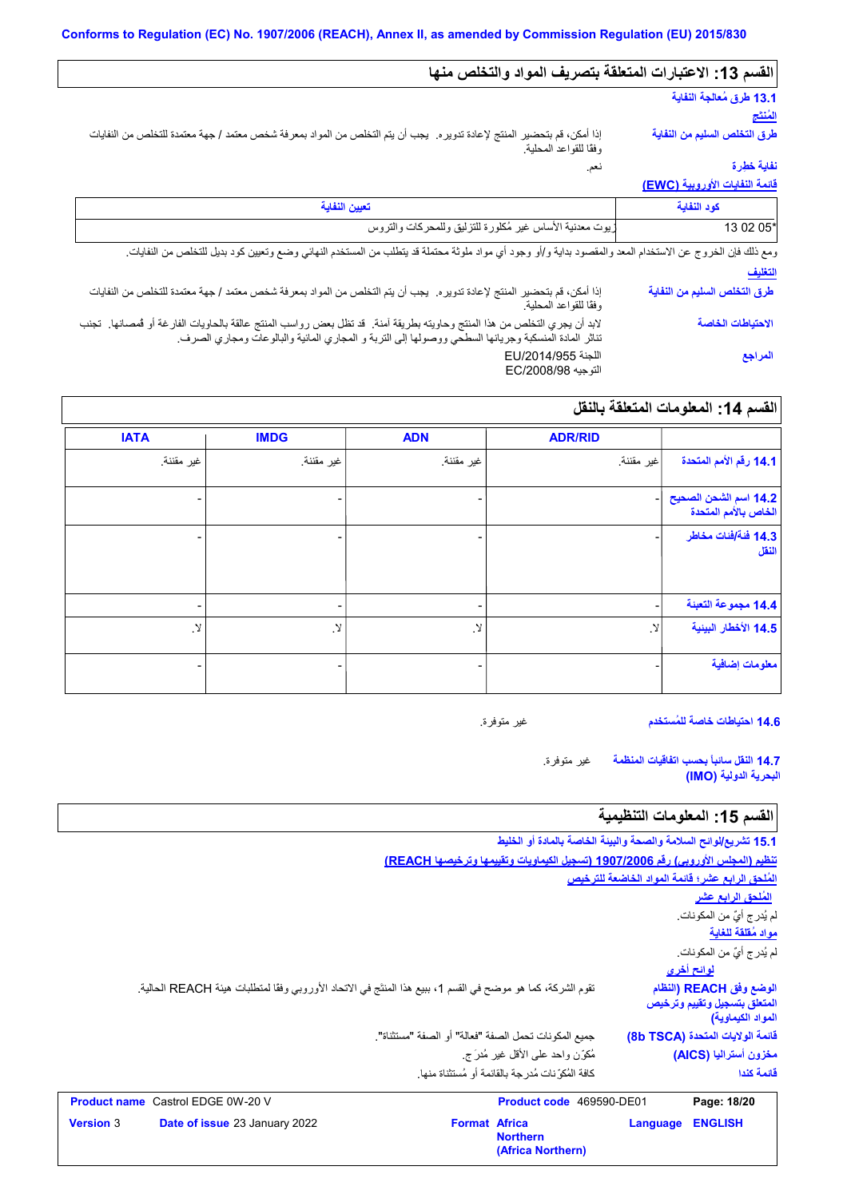# **القسم :13 الاعتبارات المتعلقة بتصریف المواد والتخلص منھا**

نعم.

# **13.1 طرق مُعالجة النفایة**

**المُنتَج طرق التخلص السلیم من النفایة**

إذا أمكن، قم بتحضیر المنتج لإعادة تدویره. یجب أن یتم التخلص من المواد بمعرفة شخص معتمد / جھة معتمدة للتخلص من النفایات وفقًا للقواعد المحلیة.

# **نفایة خطِرة**

**قائمة النفایات الأوروبیة (EWC(**

| تعببن النفاية                                                                                                                                                                                                                    | كود النفاية                  |
|----------------------------------------------------------------------------------------------------------------------------------------------------------------------------------------------------------------------------------|------------------------------|
| زيوت معدنية الأساس غير مُكلورة للتزليق وللمحركات والتروس                                                                                                                                                                         | 13 02 05*                    |
| ومع ذلك فإن الخروج عن الاستخدام المعد والمقصود بداية و/أو وجود أي مواد ملوثة محتملة قد يتطلب من المستخدم النهائي وضع وتعيين كود بديل للتخلص من النفايات.                                                                         |                              |
|                                                                                                                                                                                                                                  | التغليف                      |
| إذا أمكن، قم بتحضير المنتج لإعادة تدويره.  يجب أن يتم التخلص من المواد بمعرفة شخص معتمد / جهة معتمدة للتخلص من النفايات<br>وفقًا للقواعد المحلية.                                                                                | طرق التخلص السليم من النفاية |
| لابد أن يجري التخلص من هذا المنتج وحاويته بطريقة آمنة.  قد تظل بعض رواسب المنتج عالقة بالحاويات الفارغة أو فمصانها.  تجنب<br>تناثر المادة المنسكبة وجريانها السطحي ووصولها إلى التربة و المجاري المائية والبالوعات ومجاري الصرف. | الاحتياطات الخاصة            |
| اللجنة EU/2014/955<br>التوجيه EC/2008/98                                                                                                                                                                                         | المراجع                      |

# **القسم :14 المعلومات المتعلقة بالنقل**

|                                               | <b>ADR/RID</b> | <b>ADN</b> | <b>IMDG</b>   | <b>IATA</b>  |
|-----------------------------------------------|----------------|------------|---------------|--------------|
| 14.1 رقم الأمم المتحدة                        | اغير مقننة     | غير مقننة. | غير مقننة.    | غير مقننة.   |
| 14.2 اسم الشحن الصحيح<br>الخاص بالأمم المتحدة |                |            |               |              |
| 14.3 فَنَة ُافْنَات مخاطر<br>النقل            |                | -          | -             |              |
| 14.4 مجموعة التعبنة                           |                | -          | -             |              |
| 14.5 الأخطار البينية                          | . Y            | .Y         | $\mathcal{N}$ | $\cdot$ $\!$ |
| معلومات إضافية                                |                |            | -             |              |

**14.6 احتیاطات خاصة للمُستخدم**

غیر متوفرة.

غیر متوفرة. **14.7 النقل سائباً بحسب اتفاقیات المنظمة البحریة الدولیة (IMO(**

# القسم 15: المعلومات التنظيمية

|                  |                                                                                                              |                                                       | 15.1 تشريع/لوائح السلامة والصحة والبينة الخاصة بالمادة أو الخليط                 |          |                                                                              |
|------------------|--------------------------------------------------------------------------------------------------------------|-------------------------------------------------------|----------------------------------------------------------------------------------|----------|------------------------------------------------------------------------------|
|                  |                                                                                                              |                                                       | تنظيم (المجلس الأوروبي) رقم 1907/2006 (تسجيل الكيماويات وتقييمها وترخيصها REACH) |          |                                                                              |
|                  |                                                                                                              |                                                       |                                                                                  |          | المُلحق الرابع عشر؛ فَانمة المواد الخاضعة للترخيص                            |
|                  |                                                                                                              |                                                       |                                                                                  |          | <u>المُلحق الرابع عشر</u>                                                    |
|                  |                                                                                                              |                                                       |                                                                                  |          | لم يُدر ج أيٌّ من المكونات.                                                  |
|                  |                                                                                                              |                                                       |                                                                                  |          | مواد مُقلقة للغاية                                                           |
|                  |                                                                                                              |                                                       |                                                                                  |          | لم يُدرِ ج أيٌّ من المكونات.                                                 |
|                  |                                                                                                              |                                                       |                                                                                  |          | لوائح أخر <i>ى</i>                                                           |
|                  | تقوم الشركة، كما هو موضح في القسم 1، ببيع هذا المنتَج في الاتحاد الأوروبي وفقًا لمتطلبات هيئة REACH الحالية. |                                                       |                                                                                  |          | الوضع وفق REACH (النظام<br>المتعلق بتسجيل وتقييم وترخيص<br>المواد الكيماوية) |
|                  |                                                                                                              | جميع المكو نات تحمل الصفة "فعالة" أو الصفة "مستثناة". |                                                                                  |          | فَانِمة الولايات المتحدة (8b TSCA)                                           |
|                  |                                                                                                              |                                                       | مُكوِّن واحد على الأقل غير مُدرَ ج                                               |          | مغزون أستراليا (AICS)                                                        |
|                  |                                                                                                              |                                                       | كافة المُكوِّ نات مُدر جة بالقائمة أو مُستثناة منها.                             |          | فائمة كندا                                                                   |
|                  | <b>Product name</b> Castrol EDGE 0W-20 V                                                                     |                                                       | Product code 469590-DE01                                                         |          | Page: 18/20                                                                  |
| <b>Version 3</b> | Date of issue 23 January 2022                                                                                | <b>Format Africa</b>                                  | <b>Northern</b><br>(Africa Northern)                                             | Language | <b>ENGLISH</b>                                                               |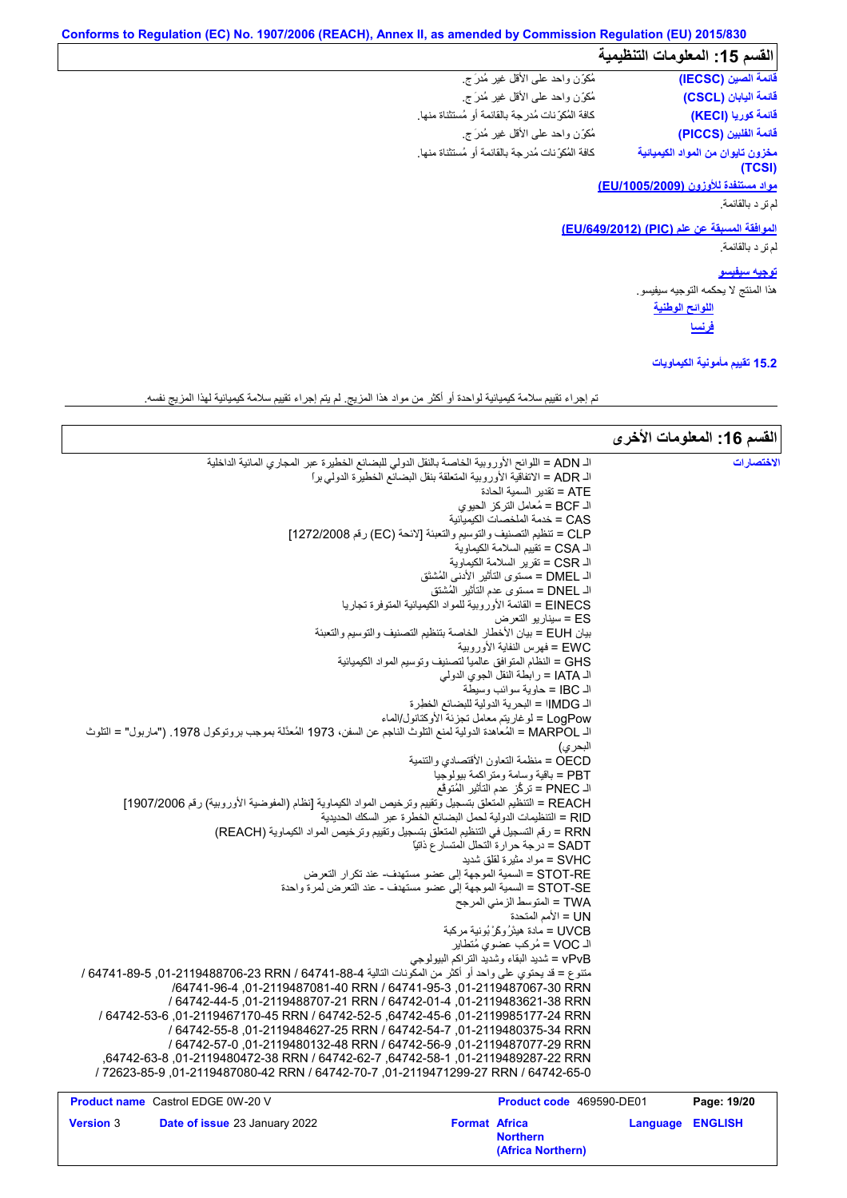# **القسم :15 المعلومات التنظیمیة**

| القسم 15: المعلومات التنظيمية               |                                                       |
|---------------------------------------------|-------------------------------------------------------|
| فَائِمَةَ الصِّينَ (IECSC)                  | مُكوَّن واحد علمي الأقل غير مُدرَ ج                   |
| فَائمة البابان (CSCL)                       | مُكوِّن واحد على الأقل غير مُدرَ ج                    |
| قائمة كوريا (KECI)                          | كافة المُكوِّ نات مُدرِ جة بالقائمة أو مُستثناة منها. |
| فَائمة الفلبين (PICCS)                      | مُكوِّن واحد على الأقل غير مُدرَج.                    |
| مخزون تايوان من المواد الكيميائية<br>(TCSI) | كافة المُكوِّ نات مُدرِ جة بالقائمة أو مُستثناة منها. |
| <u>مواد مستنفدة للأوزون (EU/1005/2009)</u>  |                                                       |
| لمرتز د بالقائمة.                           |                                                       |

**الموافقة المسبقة عن علم (PIC) (/649/2012EU(**

# رِ دورِ د الرِّ د بالقائمة.<br>الم ترِ د بالقائمة.<br>المو افقة المسبو<br>الم تر د بالقائمة.<br>الم تر د بالقائمة.

**توجیھ سیفیسو**

**اللوائح الوطنیة** ھذا المنتج لا یحكمھ التوجیھ سیفیسو. **فرنسا**

**15.2 تقییم مأمونیة الكیماویات**

تم إجراء تقییم سلامة كیمیائیة لواحدة أو أكثر من مواد ھذا المزیج. لم یتم إجراء تقییم سلامة كیمیائیة لھذا المزیج نفسھ.

|                                                                                                                    |                                                                         |                  | القسم 16: المعلومات الأخرى |
|--------------------------------------------------------------------------------------------------------------------|-------------------------------------------------------------------------|------------------|----------------------------|
| الـ ADN = اللوائح الأوروبية الخاصة بالنقل الدولي للبضائع الخطيرة عبر المجاري المائية الداخلية                      |                                                                         |                  |                            |
|                                                                                                                    | الـ ADR = الاتفاقية الأوروبية المتعلقة بنقل البضائع الخطيرة الدولي براً |                  |                            |
|                                                                                                                    | ATE = تقدير   السمية الحادة                                             |                  |                            |
|                                                                                                                    | الـ BCF = مُعامل التركز الحيوي                                          |                  |                            |
|                                                                                                                    | CAS = خدمة الملخصات الكيميائية                                          |                  |                            |
|                                                                                                                    | CLP = تنظيم التصنيف والتوسيم والتعبئة [لائحة (EC) رقم 1272/2008]        |                  |                            |
|                                                                                                                    | الـ CSA = تقييم السلامة الكيماوية                                       |                  |                            |
|                                                                                                                    | الـ CSR = تقرير السلامة الكيماوية                                       |                  |                            |
|                                                                                                                    | الـ DMEL = مستوى التأثير الأدنى المُشتَق                                |                  |                            |
|                                                                                                                    | الـ DNEL = مستوى عدم التأثير المُشتق                                    |                  |                            |
|                                                                                                                    | EINECS = القائمة الأور وبية للمواد الكيميائية المتوفر ة تجار يا         |                  |                            |
|                                                                                                                    | ES = سيناريو التعرض                                                     |                  |                            |
|                                                                                                                    | بيان EUH = بيان الأخطار الخاصة بتنظيم التصنيف والتوسيم والتعبئة         |                  |                            |
|                                                                                                                    | EWC = فهرس النفاية الأوروبية                                            |                  |                            |
|                                                                                                                    | GHS = النظام المتوافق عالمياً لتصنيف وتوسيم المواد الكيميائية           |                  |                            |
|                                                                                                                    | الـ IATA = رابطة النقل الجوي الدولي                                     |                  |                            |
|                                                                                                                    | الـ IBC = حاوية سوائب وسيطة                                             |                  |                            |
|                                                                                                                    | الـ IMDG! = البحرية الدولية للبضائع الخطرة                              |                  |                            |
|                                                                                                                    | LogPow = لو غاريتم معامل تجزئة الأوكتانول/الماء                         |                  |                            |
| اك MARPOL = المُعاهدة الدولية لمنع التلوث الناجم عن السفن، 1973 المُعدَّلة بموجب بروتوكول 1978. ("ماربول" = التلوث |                                                                         |                  |                            |
|                                                                                                                    | البحر ي)                                                                |                  |                            |
|                                                                                                                    | OECD = منظمة التعاون الأقتصادي والتنمية                                 |                  |                            |
|                                                                                                                    | PBT = باقية وسامة ومتر اكمة بيولوجيا                                    |                  |                            |
|                                                                                                                    | الـ PNEC = تركُّز عدم التأثير المُتوقَّع                                |                  |                            |
| REACH = التنظيم المتعلق بتسجيل وتقييم وترخيص المواد الكيماوية [نظام (المفوضية الأوروبية) رقم 1907/2006]            |                                                                         |                  |                            |
|                                                                                                                    | RID = التنظيمات الدولية لحمل البضائع الخطرة عبر السكك الحديدية          |                  |                            |
| RRN = رقم التسجيل في التنظيم المتعلق بتسجيل وتقييم وترخيص المواد الكيماوية (REACH)                                 |                                                                         |                  |                            |
|                                                                                                                    | SADT = درجة حرارة التحلل المتسار ع ذاتيًّا                              |                  |                            |
|                                                                                                                    | SVHC = مو اد مثیر ة لقلق شدید                                           |                  |                            |
|                                                                                                                    | STOT-RE = السمية الموجهة إلى عضو مستهدف- عند تكر ار  التعر ض            |                  |                            |
|                                                                                                                    | STOT-SE = السمية الموجهة إلى عضو مستهدف - عند التعرض لمرة واحدة         |                  |                            |
|                                                                                                                    | TWA = المتوسط الزمني المرجح                                             |                  |                            |
|                                                                                                                    | UN = الأمم المتحدة                                                      |                  |                            |
|                                                                                                                    | UVCB = مادة هيئرُ وكَرْ بُونية مركبة                                    |                  |                            |
|                                                                                                                    | الـ VOC = مُركب عضوى مُتطاير                                            |                  |                            |
|                                                                                                                    | vPvB = شديد البقاء وشديد التراكم البيولوجي                              |                  |                            |
| منتوع = قد يحتوي على واحد أو أكثر من المكونات التالية 4-88-64741 / 64741-8706-23 RRN / 64741-89 /                  |                                                                         |                  |                            |
| /64741-96-3 01-2119487061-40 RRN / 64741-95-3 01-2119487067-30 RRN                                                 |                                                                         |                  |                            |
| / 64742-44-5 .01-2119488707-21 RRN / 64742-01-4 .01-2119483621-38 RRN                                              |                                                                         |                  |                            |
| /64742-53-6172-24 RRN (64742-52-5 .64742-45-6) (01-2119985177-24 RRN                                               |                                                                         |                  |                            |
| / 64742-55-8, 01-2119484627-25 RRN / 64742-54-7, 01-2119480375-34 RRN                                              |                                                                         |                  |                            |
| / 64742-57-0.01-2119480132-48 RRN / 64742-56-9 01-2119487077-29 RRN                                                |                                                                         |                  |                            |
| .64742-63-8287-22 RRN / 64742-62-7 .64742-58-1 .01-2119489287-22 RRN                                               |                                                                         |                  |                            |
| /12623-85-9 ,01-2119487080-42 RRN / 64742-70-7 ,01-2119471299-27 RRN / 64742-65-0                                  |                                                                         |                  |                            |
| <b>Product name</b> Castrol EDGE 0W-20 V                                                                           | Product code 469590-DE01                                                |                  | Page: 19/20                |
| Version 3<br><b>Date of issue 23 January 2022</b>                                                                  | <b>Format Africa</b>                                                    | Language ENGLISH |                            |
|                                                                                                                    | <b>Northern</b><br>(Africa Northern)                                    |                  |                            |